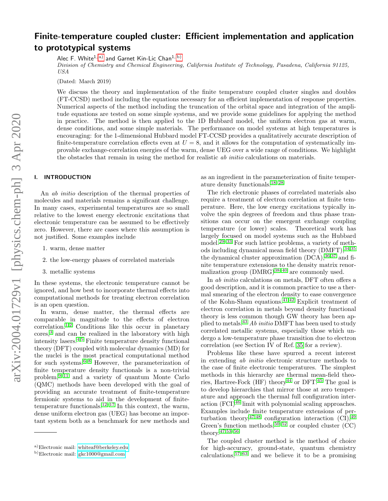# arXiv:2004.01729v1 [physics.chem-ph] 3 Apr 2020 arXiv:2004.01729v1 [physics.chem-ph] 3 Apr 2020

# Finite-temperature coupled cluster: Efficient implementation and application to prototypical systems

Alec F. White<sup>1, [a\)](#page-0-0)</sup> and Garnet Kin-Lic Chan<sup>1, [b\)](#page-0-1)</sup>

Division of Chemistry and Chemical Engineering, California Institute of Technology, Pasadena, California 91125, USA

(Dated: March 2019)

We discuss the theory and implementation of the finite temperature coupled cluster singles and doubles (FT-CCSD) method including the equations necessary for an efficient implementation of response properties. Numerical aspects of the method including the truncation of the orbital space and integration of the amplitude equations are tested on some simple systems, and we provide some guidelines for applying the method in practice. The method is then applied to the 1D Hubbard model, the uniform electron gas at warm, dense conditions, and some simple materials. The performance on model systems at high temperatures is encouraging: for the 1-dimensional Hubbard model FT-CCSD provides a qualitatively accurate description of finite-temperature correlation effects even at  $U = 8$ , and it allows for the computation of systematically improvable exchange-correlation energies of the warm, dense UEG over a wide range of conditions. We highlight the obstacles that remain in using the method for realistic *ab initio* calculations on materials.

# I. INTRODUCTION

An ab initio description of the thermal properties of molecules and materials remains a significant challenge. In many cases, experimental temperatures are so small relative to the lowest energy electronic excitations that electronic temperature can be assumed to be effectively zero. However, there are cases where this assumption is not justified. Some examples include

- 1. warm, dense matter
- 2. the low-energy phases of correlated materials
- 3. metallic systems

In these systems, the electronic temperature cannot be ignored, and how best to incorporate thermal effects into computational methods for treating electron correlation is an open question.

In warm, dense matter, the thermal effects are comparable in magnitude to the effects of electron  $correlation<sup>1,2</sup>$  $correlation<sup>1,2</sup>$  $correlation<sup>1,2</sup>$  $correlation<sup>1,2</sup>$  Conditions like this occur in planetary cores,<sup>[3](#page-18-2)</sup> and can be realized in the laboratory with high intensity lasers.[4](#page-18-3)[,5](#page-18-4) Finite temperature density functional theory (DFT) coupled with molecular dynamics (MD) for the nuclei is the most practical computational method for such systems. $6-8$  $6-8$  However, the parameterization of finite temperature density functionals is a non-trivial problem,[9](#page-19-2)[–11](#page-19-3) and a variety of quantum Monte Carlo (QMC) methods have been developed with the goal of providing an accurate treatment of finite-temperature fermionic systems to aid in the development of finite-temperature functionals.<sup>[12–](#page-19-4)[17](#page-19-5)</sup> In this context, the warm, dense uniform electron gas (UEG) has become an important system both as a benchmark for new methods and

as an ingredient in the parameterization of finite temperature density functionals.[18–](#page-19-6)[28](#page-19-7)

The rich electronic phases of correlated materials also require a treatment of electron correlation at finite temperature. Here, the low energy excitations typically involve the spin degrees of freedom and thus phase transitions can occur on the emergent exchange coupling temperature (or lower) scales. Theoretical work has largely focused on model systems such as the Hubbard model.[29–](#page-19-8)[33](#page-19-9) For such lattice problems, a variety of methods including dynamical mean field theory  $(DMFT)$ ,  $34,35$  $34,35$ the dynamical cluster approximation  $(DCA)$ ,  $36,37$  $36,37$  and finite temperature extensions to the density matrix renormalization group  $(DMRG)^{38-40}$  $(DMRG)^{38-40}$  $(DMRG)^{38-40}$  are commonly used.

In ab initio calculations on metals, DFT often offers a good description, and it is common practice to use a thermal smearing of the electron density to ease convergence of the Kohn-Sham equations.[41,](#page-19-16)[42](#page-20-0) Explicit treatment of electron correlation in metals beyond density functional theory is less common though GW theory has been applied to metals.[43](#page-20-1) Ab initio DMFT has been used to study correlated metallic systems, especially those which undergo a low-temperature phase transition due to electron correlation (see Section IV of Ref. [35](#page-19-11) for a review).

Problems like these have spurred a recent interest in extending ab initio electronic structure methods to the case of finite electronic temperatures. The simplest methods in this hierarchy are thermal mean-field theories, Hartree-Fock  $(HF)$  theory<sup>[44](#page-20-2)</sup> or DFT.<sup>[45](#page-20-3)</sup> The goal is to develop hierarchies that mirror those at zero temperature and approach the thermal full configuration interaction  $(FCI)^{46}$  $(FCI)^{46}$  $(FCI)^{46}$  limit with polynomial scaling approaches. Examples include finite temperature extensions of perturbation theory,  $47,48$  $47,48$  configuration interaction (CI),  $49$ Green's function methods,  $50-52$  $50-52$  or coupled cluster (CC) theory.[47,](#page-20-5)[53](#page-20-10)[–56](#page-20-11)

The coupled cluster method is the method of choice for high-accuracy, ground-state, quantum chemistry calculations,  $57-63$  $57-63$  and we believe it to be a promising

<span id="page-0-0"></span>a)Electronic mail: [whiteaf@berkeley.edu](mailto:whiteaf@berkeley.edu)

<span id="page-0-1"></span>b)Electronic mail: [gkc1000@gmail.com](mailto:gkc1000@gmail.com)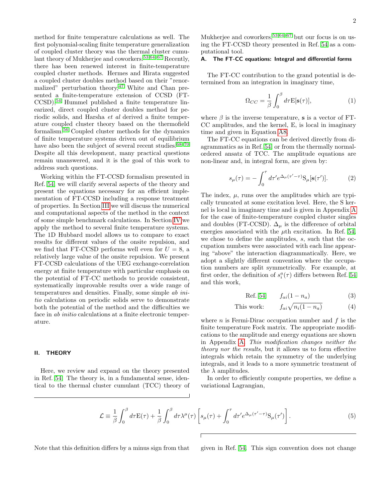method for finite temperature calculations as well. The first polynomial-scaling finite temperature generalization of coupled cluster theory was the thermal cluster cumu-lant theory of Mukherjee and coworkers.<sup>[53](#page-20-10)[,64](#page-20-14)[–67](#page-20-15)</sup> Recently, there has been renewed interest in finite-temperature coupled cluster methods. Hermes and Hirata suggested a coupled cluster doubles method based on their "renor-malized" perturbation theory,<sup>[47](#page-20-5)</sup> White and Chan presented a finite-temperature extension of CCSD (FT-CCSD),[54](#page-20-16) Hummel published a finite temperature linearized, direct coupled cluster doubles method for periodic solids, and Harsha et al derived a finite temperature coupled cluster theory based on the thermofield formalism.[56](#page-20-11) Coupled cluster methods for the dynamics of finite temperature systems driven out of equilibrium have also been the subject of several recent studies. $68-70$  $68-70$ Despite all this development, many practical questions remain unanswered, and it is the goal of this work to address such questions.

Working within the FT-CCSD formalism presented in Ref. [54,](#page-20-16) we will clarify several aspects of the theory and present the equations necessary for an efficient implementation of FT-CCSD including a response treatment of properties. In Section [III](#page-3-0) we will discuss the numerical and computational aspects of the method in the context of some simple benchmark calculations. In Section [IV](#page-6-0) we apply the method to several finite temperature systems. The 1D Hubbard model allows us to compare to exact results for different values of the onsite repulsion, and we find that FT-CCSD performs well even for  $U = 8$ , a relatively large value of the onsite repulsion. We present FT-CCSD calculations of the UEG exchange-correlation energy at finite temperature with particular emphasis on the potential of FT-CC methods to provide consistent, systematically improvable results over a wide range of temperatures and densities. Finally, some simple ab initio calculations on periodic solids serve to demonstrate both the potential of the method and the difficulties we face in ab initio calculations at a finite electronic temperature.

#### II. THEORY

Here, we review and expand on the theory presented in Ref. [54.](#page-20-16) The theory is, in a fundamental sense, identical to the thermal cluster cumulant (TCC) theory of Mukherjee and coworkers,  $53,64-67$  $53,64-67$  $53,64-67$  but our focus is on using the FT-CCSD theory presented in Ref. [54](#page-20-16) as a computational tool.

# A. The FT-CC equations: Integral and differential forms

The FT-CC contribution to the grand potential is determined from an integration in imaginary time,

<span id="page-1-2"></span>
$$
\Omega_{CC} = \frac{1}{\beta} \int_0^\beta d\tau \mathbf{E}[\mathbf{s}(\tau)],\tag{1}
$$

where  $\beta$  is the inverse temperature, s is a vector of FT-CC amplitudes, and the kernel, E, is local in imaginary time and given in Equation [A8.](#page-11-0)

The FT-CC equations can be derived directly from diagrammatics as in Ref. [54,](#page-20-16) or from the thermally normalordered ansatz of TCC. The amplitude equations are non-linear and, in integral form, are given by:

<span id="page-1-0"></span>
$$
s_{\mu}(\tau) = -\int_0^{\tau} d\tau' e^{\Delta_{\mu}(\tau' - \tau)} S_{\mu}[s(\tau')]. \tag{2}
$$

The index,  $\mu$ , runs over the amplitudes which are typically truncated at some excitation level. Here, the S kernel is local in imaginary time and is given in Appendix [A](#page-11-1) for the case of finite-temperature coupled cluster singles and doubles (FT-CCSD).  $\Delta_{\mu}$  is the difference of orbital energies associated with the  $\mu$ th excitation. In Ref. [54,](#page-20-16) we chose to define the amplitudes, s, such that the occupation numbers were associated with each line appearing "above" the interaction diagrammatically. Here, we adopt a slightly different convention where the occupation numbers are split symmetrically. For example, at first order, the definition of  $s_i^a(\tau)$  differs between Ref. [54](#page-20-16) and this work,

Ref. 54: 
$$
f_{ai}(1 - n_a)
$$
 (3)

This work: 
$$
f_{ai}\sqrt{n_i(1-n_a)}
$$
 (4)

where *n* is Fermi-Dirac occupation number and  $f$  is the finite temperature Fock matrix. The appropriate modifications to the amplitude and energy equations are shown in Appendix [A.](#page-11-1) This modification changes neither the theory nor the results, but it allows us to form effective integrals which retain the symmetry of the underlying integrals, and it leads to a more symmetric treatment of the  $\lambda$  amplitudes.

In order to efficiently compute properties, we define a variational Lagrangian,

<span id="page-1-1"></span>
$$
\mathcal{L} \equiv \frac{1}{\beta} \int_0^\beta d\tau E(\tau) + \frac{1}{\beta} \int_0^\beta d\tau \lambda^\mu(\tau) \left[ s_\mu(\tau) + \int_0^\tau d\tau' e^{\Delta_\mu(\tau' - \tau)} S_\mu(\tau') \right]. \tag{5}
$$

Note that this definition differs by a minus sign from that given in Ref. [54.](#page-20-16) This sign convention does not change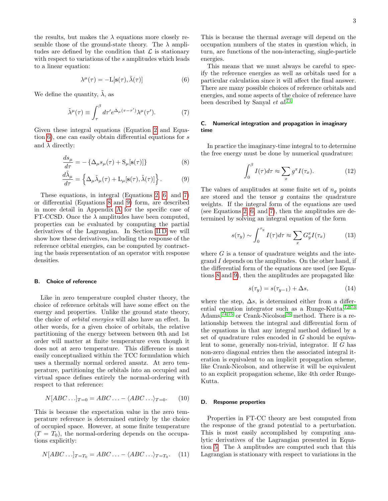the results, but makes the  $\lambda$  equations more closely resemble those of the ground-state theory. The  $\lambda$  amplitudes are defined by the condition that  $\mathcal L$  is stationary with respect to variations of the s amplitudes which leads to a linear equation:

<span id="page-2-0"></span>
$$
\lambda^{\mu}(\tau) = -\mathcal{L}[\mathbf{s}(\tau), \tilde{\lambda}(\tau)] \tag{6}
$$

We define the quantity,  $\tilde{\lambda}$ , as

<span id="page-2-1"></span>
$$
\tilde{\lambda}^{\mu}(\tau) \equiv \int_{\tau}^{\beta} d\tau' e^{\Delta_{\mu}(\tau - \tau')} \lambda^{\mu}(\tau'). \tag{7}
$$

Given these integral equations (Equation [2](#page-1-0) and Equation [6\)](#page-2-0), one can easily obtain differential equations for s and  $\lambda$  directly:

$$
\frac{ds_{\mu}}{d\tau} = -\left\{\Delta_{\mu}s_{\mu}(\tau) + \mathcal{S}_{\mu}[\mathbf{s}(\tau)]\right\} \tag{8}
$$

$$
\frac{d\tilde{\lambda}_{\mu}}{d\tau} = \left\{ \Delta_{\mu}\tilde{\lambda}_{\mu}(\tau) + \mathcal{L}_{\mu}[\mathbf{s}(\tau), \tilde{\lambda}(\tau)] \right\}.
$$
 (9)

These equations, in integral (Equations [2,](#page-1-0) [6,](#page-2-0) and [7\)](#page-2-1) or differential (Equations [8](#page-2-2) and [9\)](#page-2-3) form, are described in more detail in Appendix [A](#page-11-1) for the specific case of FT-CCSD. Once the  $\lambda$  amplitudes have been computed, properties can be evaluated by computing the partial derivatives of the Lagrangian. In Section [II D](#page-2-4) we will show how these derivatives, including the response of the reference orbital energies, can be computed by contracting the basis representation of an operator with response densities.

# B. Choice of reference

Like in zero temperature coupled cluster theory, the choice of reference orbitals will have some effect on the energy and properties. Unlike the ground state theory, the choice of orbital energies will also have an effect. In other words, for a given choice of orbitals, the relative partitioning of the energy between between 0th and 1st order will matter at finite temperature even though it does not at zero temperature. This difference is most easily conceptualized within the TCC formulation which uses a thermally normal ordered ansatz. At zero temperature, partitioning the orbitals into an occupied and virtual space defines entirely the normal-ordering with respect to that reference:

$$
N[ABC\ldots]_{T=0} = ABC\ldots - \langle ABC\ldots\rangle_{T=0}.\tag{10}
$$

This is because the expectation value in the zero temperature reference is determined entirely by the choice of occupied space. However, at some finite temperature  $(T = T_0)$ , the normal-ordering depends on the occupations explicitly:

$$
N[ABC\ldots]_{T=T_0} = ABC\ldots - \langle ABC\ldots\rangle_{T=T_0}.\tag{11}
$$

This is because the thermal average will depend on the occupation numbers of the states in question which, in turn, are functions of the non-interacting, single-particle energies.

This means that we must always be careful to specify the reference energies as well as orbitals used for a particular calculation since it will affect the final answer. There are many possible choices of reference orbitals and energies, and some aspects of the choice of reference have been described by Sanyal et al.<sup>[71](#page-20-19)</sup>

# <span id="page-2-6"></span>C. Numerical integration and propagation in imaginary time

<span id="page-2-2"></span>In practice the imaginary-time integral to to determine the free energy must be done by numerical quadrature:

$$
\int_0^\beta I(\tau)d\tau \approx \sum_x g^x I(\tau_x). \tag{12}
$$

<span id="page-2-3"></span>The values of amplitudes at some finite set of  $n_q$  points are stored and the tensor  $g$  contains the quadrature weights. If the integral form of the equations are used (see Equations [2,](#page-1-0) [6,](#page-2-0) and [7\)](#page-2-1), then the amplitudes are determined by solving an integral equation of the form

<span id="page-2-5"></span>
$$
s(\tau_y) \sim \int_0^{\tau_y} I(\tau) d\tau \approx \sum_x G_y^x I(\tau_x) \tag{13}
$$

where  $G$  is a tensor of quadrature weights and the integrand  $I$  depends on the amplitudes. On the other hand, if the differential form of the equations are used (see Equations [8](#page-2-2) and [9\)](#page-2-3), then the amplitudes are propagated like

$$
s(\tau_y) = s(\tau_{y-1}) + \Delta s,\tag{14}
$$

where the step,  $\Delta s$ , is determined either from a differential equation integrator such as a Runge-Kutta, $72,73$  $72,73$ Adams,<sup> $74,75$  $74,75$ </sup> or Crank-Nicolson<sup>[76](#page-20-24)</sup> method. There is a relationship between the integral and differential form of the equations in that any integral method defined by a set of quadrature rules encoded in G should be equivalent to some, generally non-trivial, integrator. If G has non-zero diagonal entries then the associated integral iteration is equivalent to an implicit propagation scheme, like Crank-Nicolson, and otherwise it will be equivalent to an explicit propagation scheme, like 4th order Runge-Kutta.

#### <span id="page-2-4"></span>D. Response properties

Properties in FT-CC theory are best computed from the response of the grand potential to a perturbation. This is most easily accomplished by computing analytic derivatives of the Lagrangian presented in Equa-tion [5.](#page-1-1) The  $\lambda$  amplitudes are computed such that this Lagrangian is stationary with respect to variations in the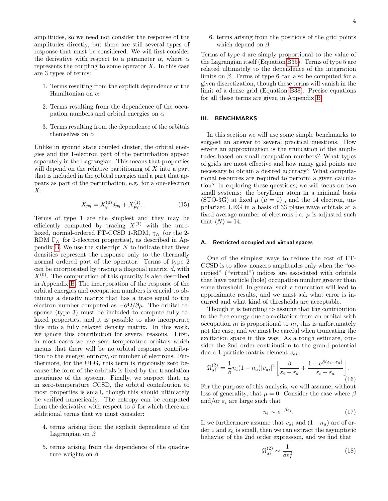amplitudes, so we need not consider the response of the amplitudes directly, but there are still several types of response that must be considered. We will first consider the derivative with respect to a parameter  $\alpha$ , where  $\alpha$ represents the coupling to some operator  $X$ . In this case are 3 types of terms:

- 1. Terms resulting from the explicit dependence of the Hamiltonian on  $\alpha$ .
- 2. Terms resulting from the dependence of the occupation numbers and orbital energies on  $\alpha$
- 3. Terms resulting from the dependence of the orbitals themselves on  $\alpha$

Unlike in ground state coupled cluster, the orbital energies and the 1-electron part of the perturbation appear separately in the Lagrangian. This means that properties will depend on the relative partitioning of X into a part that is included in the orbital energies and a part that appears as part of the perturbation, e.g. for a one-electron  $X$ :

$$
X_{pq} = X_q^{(0)} \delta_{pq} + X_{pq}^{(1)}.
$$
 (15)

Terms of type 1 are the simplest and they may be efficiently computed by tracing  $X^{(1)}$  with the unrelaxed, normal-ordered FT-CCSD 1-RDM,  $\gamma_N$  (or the 2-RDM  $\Gamma_N$  for 2-electron properties), as described in Ap-pendix [B.](#page-14-0) We use the subscript  $N$  to indicate that these densities represent the response only to the thermally normal ordered part of the operator. Terms of type 2 can be incorporated by tracing a diagonal matrix, d, with  $X^{(0)}$ . The computation of this quantity is also described in Appendix [B.](#page-14-0) The incorporation of the response of the orbital energies and occupation numbers is crucial to obtaining a density matrix that has a trace equal to the electron number computed as  $-\partial\Omega/\partial\mu$ . The orbital response (type 3) must be included to compute fully relaxed properties, and it is possible to also incorporate this into a fully relaxed density matrix. In this work, we ignore this contribution for several reasons. First, in most cases we use zero temperature orbitals which means that there will be no orbital response contribution to the energy, entropy, or number of electrons. Furthermore, for the UEG, this term is rigorously zero because the form of the orbitals is fixed by the translation invariance of the system. Finally, we suspect that, as in zero-temperature CCSD, the orbital contribution to most properties is small, though this should ultimately be verified numerically. The entropy can be computed from the derivative with respect to  $\beta$  for which there are additional terms that we must consider:

- 4. terms arising from the explicit dependence of the Lagrangian on  $\beta$
- 5. terms arising from the dependence of the quadrature weights on  $\beta$

6. terms arising from the positions of the grid points which depend on  $\beta$ 

Terms of type 4 are simply proportional to the value of the Lagrangian itself (Equation [B35\)](#page-17-0). Terms of type 5 are related ultimately to the dependence of the integration limits on  $\beta$ . Terms of type 6 can also be computed for a given discretization, though these terms will vanish in the limit of a dense grid (Equation [B38\)](#page-17-1). Precise equations for all these terms are given in Appendix [B.](#page-14-0)

# <span id="page-3-0"></span>III. BENCHMARKS

In this section we will use some simple benchmarks to suggest an answer to several practical questions. How severe an approximation is the truncation of the amplitudes based on small occupation numbers? What types of grids are most effective and how many grid points are necessary to obtain a desired accuracy? What computational resources are required to perform a given calculation? In exploring these questions, we will focus on two small systems: the beryllium atom in a minimal basis (STO-3G) at fixed  $\mu$  ( $\mu = 0$ ), and the 14 electron, unpolarized UEG in a basis of 33 plane wave orbitals at a fixed average number of electrons i.e.  $\mu$  is adjusted such that  $\langle N \rangle = 14$ .

#### A. Restricted occupied and virtual spaces

One of the simplest ways to reduce the cost of FT-CCSD is to allow nonzero amplitudes only when the "occupied" ("virtual") indices are associated with orbitals that have particle (hole) occupation number greater than some threshold. In general such a truncation will lead to approximate results, and we must ask what error is incurred and what kind of thresholds are acceptable.

Though it is tempting to assume that the contribution to the free energy due to excitation from an orbital with occupation  $n_i$  is proportional to  $n_i$ , this is unfortunately not the case, and we must be careful when truncating the excitation space in this way. As a rough estimate, consider the 2nd order contribution to the grand potential due a 1-particle matrix element  $v_{ai}$ :

$$
\Omega_{ai}^{(2)} = \frac{1}{\beta} n_i (1 - n_a) |v_{ai}|^2 \left[ \frac{\beta}{\varepsilon_i - \varepsilon_a} + \frac{1 - e^{\beta(\varepsilon_i - \varepsilon_a)}}{\varepsilon_i - \varepsilon_a} \right].
$$
\n(16)

For the purpose of this analysis, we will assume, without loss of generality, that  $\mu = 0$ . Consider the case where  $\beta$ and/or  $\varepsilon_i$  are large such that

$$
n_i \sim e^{-\beta \varepsilon_i}.\tag{17}
$$

If we furthermore assume that  $v_{ai}$  and  $(1-n_a)$  are of order 1 and  $\varepsilon_a$  is small, then we can extract the asymptotic behavior of the 2nd order expression, and we find that

$$
\Omega_{ai}^{(2)} \sim \frac{1}{\beta \varepsilon_i^2}.\tag{18}
$$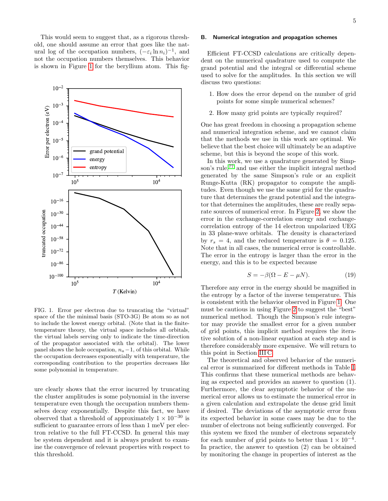This would seem to suggest that, as a rigorous threshold, one should assume an error that goes like the natural log of the occupation numbers,  $(-\varepsilon_i \ln n_i)^{-1}$ , and not the occupation numbers themselves. This behavior is shown in Figure [1](#page-4-0) for the beryllium atom. This fig-



<span id="page-4-0"></span>FIG. 1. Error per electron due to truncating the "virtual" space of the the minimal basis (STO-3G) Be atom so as not to include the lowest energy orbital. (Note that in the finitetemperature theory, the virtual space includes all orbitals, the virtual labels serving only to indicate the time-direction of the propagator associated with the orbital). The lower panel shows the hole occupation,  $n_a-1$ , of this orbital. While the occupation decreases exponentially with temperature, the corresponding contribution to the properties decreases like some polynomial in temperature.

ure clearly shows that the error incurred by truncating the cluster amplitudes is some polynomial in the inverse temperature even though the occupation numbers themselves decay exponentially. Despite this fact, we have observed that a threshold of approximately  $1 \times 10^{-30}$  is sufficient to guarantee errors of less than 1 meV per electron relative to the full FT-CCSD. In general this may be system dependent and it is always prudent to examine the convergence of relevant properties with respect to this threshold.

#### B. Numerical integration and propagation schemes

Efficient FT-CCSD calculations are critically dependent on the numerical quadrature used to compute the grand potential and the integral or differential scheme used to solve for the amplitudes. In this section we will discuss two questions:

- 1. How does the error depend on the number of grid points for some simple numerical schemes?
- 2. How many grid points are typically required?

One has great freedom in choosing a propagation scheme and numerical integration scheme, and we cannot claim that the methods we use in this work are optimal. We believe that the best choice will ultimately be an adaptive scheme, but this is beyond the scope of this work.

In this work, we use a quadrature generated by Simp-son's rule,<sup>[77](#page-20-25)</sup> and use either the implicit integral method generated by the same Simpson's rule or an explicit Runge-Kutta (RK) propagator to compute the amplitudes. Even though we use the same grid for the quadrature that determines the grand potential and the integrator that determines the amplitudes, these are really separate sources of numerical error. In Figure [2,](#page-5-0) we show the error in the exchange-correlation energy and exchangecorrelation entropy of the 14 electron unpolarized UEG in 33 plane-wave orbitals. The density is characterized by  $r_s = 4$ , and the reduced temperature is  $\theta = 0.125$ . Note that in all cases, the numerical error is controllable. The error in the entropy is larger than the error in the energy, and this is to be expected because

$$
S = -\beta(\Omega - E - \mu N). \tag{19}
$$

Therefore any error in the energy should be magnified in the entropy by a factor of the inverse temperature. This is consistent with the behavior observed in Figure [1.](#page-4-0) One must be cautious in using Figure [2](#page-5-0) to suggest the "best" numerical method. Though the Simpson's rule integrator may provide the smallest error for a given number of grid points, this implicit method requires the iterative solution of a non-linear equation at each step and is therefore considerably more expensive. We will return to this point in Section [III C.](#page-5-1)

The theoretical and observed behavior of the numerical error is summarized for different methods in Table [I.](#page-5-2) This confirms that these numerical methods are behaving as expected and provides an answer to question (1). Furthermore, the clear asymptotic behavior of the numerical error allows us to estimate the numerical error in a given calculation and extrapolate the dense grid limit if desired. The deviations of the asymptotic error from its expected behavior in some cases may be due to the number of electrons not being sufficiently converged. For this system we fixed the number of electrons separately for each number of grid points to better than  $1 \times 10^{-4}$ . In practice, the answer to question (2) can be obtained by monitoring the change in properties of interest as the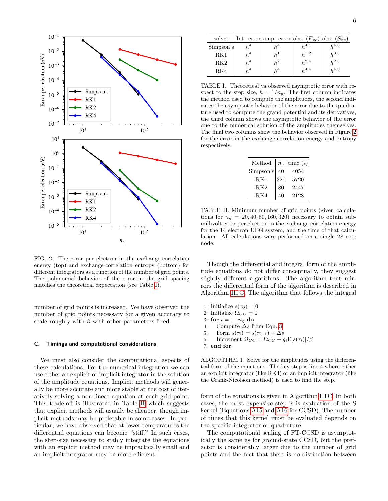

<span id="page-5-0"></span>FIG. 2. The error per electron in the exchange-correlation energy (top) and exchange-correlation entropy (bottom) for different integrators as a function of the number of grid points. The polynomial behavior of the error in the grid spacing matches the theoretical expectation (see Table [I\)](#page-5-2).

number of grid points is increased. We have observed the number of grid points necessary for a given accuracy to scale roughly with  $\beta$  with other parameters fixed.

# <span id="page-5-1"></span>C. Timings and computational considerations

We must also consider the computational aspects of these calculations. For the numerical integration we can use either an explicit or implicit integrator in the solution of the amplitude equations. Implicit methods will generally be more accurate and more stable at the cost of iteratively solving a non-linear equation at each grid point. This trade-off is illustrated in Table [II](#page-5-3) which suggests that explicit methods will usually be cheaper, though implicit methods may be preferable in some cases. In particular, we have observed that at lower temperatures the differential equations can become "stiff." In such cases, the step-size necessary to stably integrate the equations with an explicit method may be impractically small and an implicit integrator may be more efficient.

| solver    |       | Int. error amp. error obs. $(E_{xc})$ obs. $(S_{xc})$ |           |           |
|-----------|-------|-------------------------------------------------------|-----------|-----------|
| Simpson's | $h^4$ | $h^4$                                                 | $h^{4.1}$ | $h^{4.0}$ |
| RK1       | $h^4$ |                                                       | $h^{1.2}$ | $h^{0.8}$ |
| RK2       | $h^4$ | $h^2$                                                 | $h^{2.4}$ | $h^{2.8}$ |
| RK4       | $h^4$ | $h^4$                                                 | $h^{4.4}$ | $h^{4.6}$ |

<span id="page-5-2"></span>TABLE I. Theoretical vs observed asymptotic error with respect to the step size,  $h = 1/n_g$ . The first column indicates the method used to compute the amplitudes, the second indicates the asymptotic behavior of the error due to the quadrature used to compute the grand potential and its derivatives, the third column shows the asymptotic behavior of the error due to the numerical solution of the amplitudes themselves. The final two columns show the behavior observed in Figure [2](#page-5-0) for the error in the exchange-correlation energy and entropy respectively.

| Method    | $n_q$ | time(s) |
|-----------|-------|---------|
| Simpson's | 40    | 4054    |
| RK1       | 320   | 5720    |
| RK2       | 80    | 2447    |
| RK4       | 40    | 2128    |

<span id="page-5-3"></span>TABLE II. Minimum number of grid points (given calculations for  $n_q = 20, 40, 80, 160, 320$  necessary to obtain submillivolt error per electron in the exchange-correlation energy for the 14 electron UEG system, and the time of that calculation. All calculations were performed on a single 28 core node.

Though the differential and integral form of the amplitude equations do not differ conceptually, they suggest slightly different algorithms. The algorithm that mirrors the differential form of the algorithm is described in Algorithm [III C.](#page-5-3) The algorithm that follows the integral

- 1: Initialize  $s(\tau_0)=0$
- 2: Initialize  $\Omega_{CC} = 0$
- 3: for  $i = 1 : n<sub>g</sub>$  do
- 4: Compute ∆s from Eqn. [8](#page-2-2)
- 5: Form  $s(\tau_i) = s(\tau_{i-1}) + \Delta s$
- 6: Increment  $\Omega_{CC} = \Omega_{CC} + g_i \mathbb{E}[s(\tau_i)]/\beta$
- <span id="page-5-4"></span>7: end for

ALGORITHM 1. Solve for the amplitudes using the differential form of the equations. The key step is line 4 where either an explicit integrator (like RK4) or an implicit integrator (like the Crank-Nicolson method) is used to find the step.

form of the equations is given in Algorithm [III C.](#page-5-4) In both cases, the most expensive step is is evaluation of the S kernel (Equations [A15](#page-12-0) and [A16](#page-12-1) for CCSD). The number of times that this kernel must be evaluated depends on the specific integrator or quadrature.

The computational scaling of FT-CCSD is asymptotically the same as for ground-state CCSD, but the prefactor is considerably larger due to the number of grid points and the fact that there is no distinction between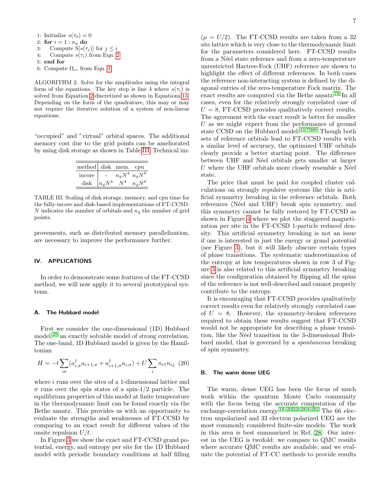- 1: Initialize  $s(\tau_0) = 0$ 2: for  $i=1:n_q$  do 3: Compute  $S[s(\tau_j)]$  for  $j \leq i$ 4: Compute  $s(\tau_i)$  from Eqn. [2](#page-1-0) 5: end for 6: Compute  $\Omega_{cc}$  from Eqn. [1](#page-1-2)
- ALGORITHM 2. Solve for the amplitudes using the integral form of the equations. The key step is line 4 where  $s(\tau_i)$  is solved from Equation [2](#page-1-0) discretized as shown in Equations [13.](#page-2-5) Depending on the form of the quadrature, this may or may not require the iterative solution of a system of non-linear equations.

"occupied" and "virtual" orbital spaces. The additional memory cost due to the grid points can be ameliorated by using disk storage as shown in Table [III.](#page-6-1) Technical im-

| method disk mem. cpu |                           |                     |          |
|----------------------|---------------------------|---------------------|----------|
| incore               |                           | $n_a N^4$ $n_a N^6$ |          |
| disk                 | $\lfloor n_g N^4 \rfloor$ |                     | $n_gN^6$ |

<span id="page-6-1"></span>TABLE III. Scaling of disk storage, memory, and cpu time for the fully-incore and disk-based implementations of FT-CCSD. N indicates the number of orbitals and  $n<sub>g</sub>$  the number of grid points.

provements, such as distributed memory parallelization, are necessary to improve the performance further.

# <span id="page-6-0"></span>IV. APPLICATIONS

In order to demonstrate some features of the FT-CCSD method, we will now apply it to several prototypical systems.

# A. The Hubbard model

First we consider the one-dimensional (1D) Hubbard model,<sup>[29](#page-19-8)</sup> an exactly solvable model of strong correlation. The one-band, 1D Hubbard model is given by the Hamiltonian

$$
H = -t\sum_{i\sigma} (a_{i,\sigma}^{\dagger} a_{i+1,\sigma} + a_{i+1,\sigma}^{\dagger} a_{i,\sigma}) + U \sum_{i} n_{i\uparrow} n_{i\downarrow} \tag{20}
$$

where i runs over the sites of a 1-dimensional lattice and  $\sigma$  runs over the spin states of a spin-1/2 particle. The equilibrium properties of this model at finite temperature in the thermodynamic limit can be found exactly via the Bethe ansatz. This provides us with an opportunity to evaluate the strengths and weaknesses of FT-CCSD by comparing to an exact result for different values of the onsite repulsion  $U/t$ .

In Figure [3](#page-7-0) we show the exact and FT-CCSD grand potential, energy, and entropy per site for the 1D Hubbard model with periodic boundary conditions at half filling

 $(\mu = U/2)$ . The FT-CCSD results are taken from a 32 site lattice which is very close to the thermodynamic limit for the parameters considered here. FT-CCSD results from a Néel state reference and from a zero-temperature unrestricted Hartree-Fock (UHF) reference are shown to highlight the effect of different references. In both cases the reference non-interacting system is defined by the diagonal entries of the zero-temperature Fock matrix. The exact results are computed via the Bethe ansatz.[78](#page-20-26) In all cases, even for the relatively strongly correlated case of  $U = 8$ , FT-CCSD provides qualitatively correct results. The agreement with the exact result is better for smaller  $U$  as we might expect from the performance of ground state CCSD on the Hubbard model.<sup>[33](#page-19-9)[,79](#page-20-27)[,80](#page-20-28)</sup> Though both sets of reference orbitals lead to FT-CCSD results with a similar level of accuracy, the optimized UHF orbitals clearly provide a better starting point. The difference between UHF and Néel orbitals gets smaller at larger  $U$  where the UHF orbitals more closely resemble a Néel state.

The price that must be paid for coupled cluster calculations on strongly repulsive systems like this is artificial symmetry breaking in the reference orbitals. Both references (Néel and UHF) break spin symmetry, and this symmetry cannot be fully restored by FT-CCSD as shown in Figure [4](#page-8-0) where we plot the staggered magnetization per site in the FT-CCSD 1-particle reduced density. This artificial symmetry breaking is not an issue if one is interested in just the energy or grand potential (see Figure [3\)](#page-7-0), but it will likely obscure certain types of phase transitions. The systematic underestimation of the entropy at low temperatures shown in row 3 of Figure [3](#page-7-0) is also related to this artificial symmetry breaking since the configuration obtained by flipping all the spins of the reference is not well-described and cannot properly contribute to the entropy.

It is encouraging that FT-CCSD provides qualitatively correct results even for relatively strongly correlated case of  $U = 8$ . However, the symmetry-broken references required to obtain these results suggest that FT-CCSD would not be appropriate for describing a phase transition, like the Néel transition in the 3-dimensional Hubbard model, that is governed by a spontaneous breaking of spin symmetry.

#### B. The warm dense UEG

The warm, dense UEG has been the focus of much work within the quantum Monte Carlo community with the focus being the accurate computation of the exchange-correlation energy.[18–](#page-19-6)[20,](#page-19-17)[22–](#page-19-18)[28,](#page-19-7)[81,](#page-20-29)[82](#page-20-30) The 66 electron unpolarized and 33 electron polarized UEG are the most commonly considered finite-size models. The work in this area is best summarized in Ref. [28.](#page-19-7) Our interest in the UEG is twofold: we compare to QMC results where accurate QMC results are available, and we evaluate the potential of FT-CC methods to provide results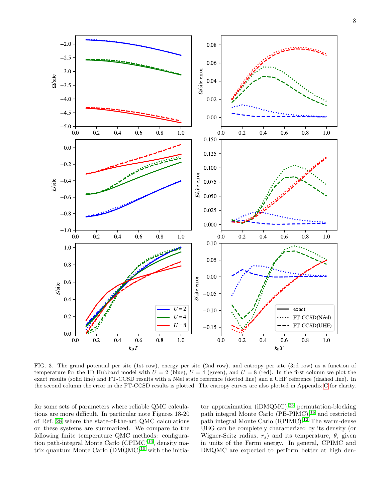

<span id="page-7-0"></span>FIG. 3. The grand potential per site (1st row), energy per site (2nd row), and entropy per site (3rd row) as a function of temperature for the 1D Hubbard model with  $U = 2$  (blue),  $U = 4$  (green), and  $U = 8$  (red). In the first column we plot the exact results (solid line) and FT-CCSD results with a N´eel state reference (dotted line) and a UHF reference (dashed line). In the second column the error in the FT-CCSD results is plotted. The entropy curves are also plotted in Appendix [C](#page-17-2) for clarity.

for some sets of parameters where reliable QMC calculations are more difficult. In particular note Figures 18-20 of Ref. [28](#page-19-7) where the state-of-the-art QMC calculations on these systems are summarized. We compare to the following finite temperature QMC methods: configuration path-integral Monte Carlo  $(CPIMC)^{14}$  $(CPIMC)^{14}$  $(CPIMC)^{14}$ , density matrix quantum Monte Carlo  $(DMQMC)^{15}$  $(DMQMC)^{15}$  $(DMQMC)^{15}$  with the initia-

tor approximation (iDMQMC),[25](#page-19-21) permutation-blocking path integral Monte Carlo (PB-PIMC),<sup>[16](#page-19-22)</sup> and restricted path integral Monte Carlo (RPIMC).<sup>[12](#page-19-4)</sup> The warm-dense UEG can be completely characterized by its density (or Wigner-Seitz radius,  $r_s$ ) and its temperature,  $\theta$ , given in units of the Fermi energy. In general, CPIMC and DMQMC are expected to perform better at high den-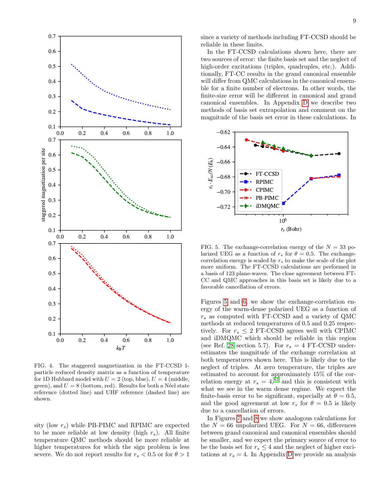

<span id="page-8-0"></span>FIG. 4. The staggered magnetization in the FT-CCSD 1 particle reduced density matrix as a function of temperature for 1D Hubbard model with  $U = 2$  (top, blue),  $U = 4$  (middle, green), and  $U = 8$  (bottom, red). Results for both a Néel state reference (dotted line) and UHF reference (dashed line) are shown.

sity (low  $r_s$ ) while PB-PIMC and RPIMC are expected to be more reliable at low density (high  $r_s$ ). All finite temperature QMC methods should be more reliable at higher temperatures for which the sign problem is less severe. We do not report results for  $r_s < 0.5$  or for  $\theta > 1$  since a variety of methods including FT-CCSD should be reliable in these limits.

In the FT-CCSD calculations shown here, there are two sources of error: the finite basis set and the neglect of high-order excitations (triples, quadruples, etc.). Additionally, FT-CC results in the grand canonical ensemble will differ from QMC calculations in the canonical ensemble for a finite number of electrons. In other words, the finite-size error will be different in canonical and grand canonical ensembles. In Appendix [D](#page-18-5) we describe two methods of basis set extrapolation and comment on the magnitude of the basis set error in these calculations. In



<span id="page-8-1"></span>FIG. 5. The exchange-correlation energy of the  $N = 33$  polarized UEG as a function of  $r_s$  for  $\theta = 0.5$ . The exchangecorrelation energy is scaled by  $r<sub>s</sub>$  to make the scale of the plot more uniform. The FT-CCSD calculations are performed in a basis of 123 plane-waves. The close agreement between FT-CC and QMC approaches in this basis set is likely due to a favorable cancellation of errors.

Figures [5](#page-8-1) and [6,](#page-9-0) we show the exchange-correlation energy of the warm-dense polarized UEG as a function of  $r<sub>s</sub>$  as computed with FT-CCSD and a variety of QMC methods at reduced temperatures of 0.5 and 0.25 respectively. For  $r_s \leq 2$  FT-CCSD agrees well with CPIMC and iDMQMC which should be reliable in this region (see Ref. [28](#page-19-7) section 5.7). For  $r_s = 4$  FT-CCSD underestimates the magnitude of the exchange correlation at both temperatures shown here. This is likely due to the neglect of triples. At zero temperature, the triples are estimated to account for approximately 15% of the correlation energy at  $r_s = 4,83$  $r_s = 4,83$  and this is consistent with what we see in the warm dense regime. We expect the finite-basis error to be significant, especially at  $\theta = 0.5$ , and the good agreement at low  $r_s$  for  $\theta = 0.5$  is likely due to a cancellation of errors.

In Figures [7](#page-9-1) and [8](#page-9-2) we show analogous calculations for the  $N = 66$  unpolarized UEG. For  $N = 66$ , differences between grand canonical and canonical ensembles should be smaller, and we expect the primary source of error to be the basis set for  $r_s \leq 4$  and the neglect of higher excitations at  $r_s = 4$ . In Appendix [D](#page-18-5) we provide an analysis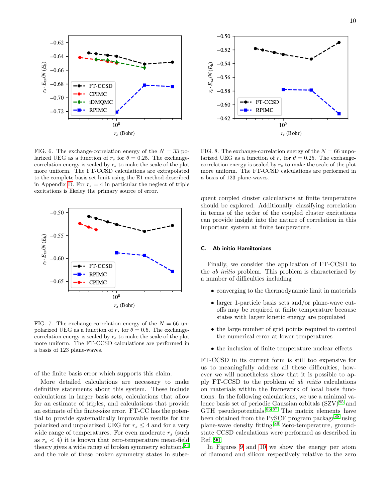

<span id="page-9-0"></span>FIG. 6. The exchange-correlation energy of the  $N = 33$  polarized UEG as a function of  $r_s$  for  $\theta = 0.25$ . The exchangecorrelation energy is scaled by  $r_s$  to make the scale of the plot more uniform. The FT-CCSD calculations are extrapolated to the complete basis set limit using the E1 method described in Appendix [D.](#page-18-5) For  $r_s = 4$  in particular the neglect of triple excitations is likeley the primary source of error.



<span id="page-9-1"></span>FIG. 7. The exchange-correlation energy of the  $N = 66$  unpolarized UEG as a function of  $r_s$  for  $\theta = 0.5$ . The exchangecorrelation energy is scaled by  $r_s$  to make the scale of the plot more uniform. The FT-CCSD calculations are performed in a basis of 123 plane-waves.

of the finite basis error which supports this claim.

More detailed calculations are necessary to make definitive statements about this system. These include calculations in larger basis sets, calculations that allow for an estimate of triples, and calculations that provide an estimate of the finite-size error. FT-CC has the potential to provide systematically improvable results for the polarized and unpolarized UEG for  $r_s \leq 4$  and for a very wide range of temperatures. For even moderate  $r_s$  (such as  $r_s < 4$ ) it is known that zero-temperature mean-field theory gives a wide range of broken symmetry solutions $84$ and the role of these broken symmetry states in subse-



<span id="page-9-2"></span>FIG. 8. The exchange-correlation energy of the  $N = 66$  unpolarized UEG as a function of  $r_s$  for  $\theta = 0.25$ . The exchangecorrelation energy is scaled by  $r_s$  to make the scale of the plot more uniform. The FT-CCSD calculations are performed in a basis of 123 plane-waves.

quent coupled cluster calculations at finite temperature should be explored. Additionally, classifying correlation in terms of the order of the coupled cluster excitations can provide insight into the nature of correlation in this important system at finite temperature.

#### C. Ab initio Hamiltonians

Finally, we consider the application of FT-CCSD to the ab initio problem. This problem is characterized by a number of difficulties including

- converging to the thermodynamic limit in materials
- larger 1-particle basis sets and/or plane-wave cutoffs may be required at finite temperature because states with larger kinetic energy are populated
- the large number of grid points required to control the numerical error at lower temperatures
- the inclusion of finite temperature nuclear effects

FT-CCSD in its current form is still too expensive for us to meaningfully address all these difficulties, however we will nonetheless show that it is possible to apply FT-CCSD to the problem of ab initio calculations on materials within the framework of local basis functions. In the following calculations, we use a minimal valence basis set of periodic Gaussian orbitals  $(SZV)^{85}$  $(SZV)^{85}$  $(SZV)^{85}$  and GTH pseudopotentials. $86,87$  $86,87$  The matrix elements have been obtained from the PySCF program package<sup>[88](#page-20-36)</sup> using plane-wave density fitting.[89](#page-20-37) Zero-temperature, groundstate CCSD calculations were performed as described in Ref. [90.](#page-20-38)

In Figures [9](#page-10-0) and [10](#page-10-1) we show the energy per atom of diamond and silicon respectively relative to the zero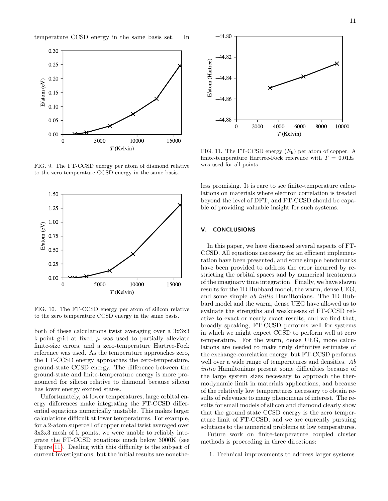temperature CCSD energy in the same basis set. In



<span id="page-10-0"></span>FIG. 9. The FT-CCSD energy per atom of diamond relative to the zero temperature CCSD energy in the same basis.



<span id="page-10-1"></span>FIG. 10. The FT-CCSD energy per atom of silicon relative to the zero temperature CCSD energy in the same basis.

both of these calculations twist averaging over a 3x3x3 k-point grid at fixed  $\mu$  was used to partially alleviate finite-size errors, and a zero-temperature Hartree-Fock reference was used. As the temperature approaches zero, the FT-CCSD energy approaches the zero-temperature, ground-state CCSD energy. The difference between the ground-state and finite-temperature energy is more pronounced for silicon relative to diamond because silicon has lower energy excited states.

Unfortunately, at lower temperatures, large orbital energy differences make integrating the FT-CCSD differential equations numerically unstable. This makes larger calculations difficult at lower temperatures. For example, for a 2-atom supercell of copper metal twist averaged over 3x3x3 mesh of k points, we were unable to reliably integrate the FT-CCSD equations much below 3000K (see Figure [11\)](#page-10-2). Dealing with this difficulty is the subject of current investigations, but the initial results are nonethe-



<span id="page-10-2"></span>FIG. 11. The FT-CCSD energy (Eh) per atom of copper. A finite-temperature Hartree-Fock reference with  $T = 0.01 E<sub>h</sub>$ was used for all points.

less promising. It is rare to see finite-temperature calculations on materials where electron correlation is treated beyond the level of DFT, and FT-CCSD should be capable of providing valuable insight for such systems.

# V. CONCLUSIONS

In this paper, we have discussed several aspects of FT-CCSD. All equations necessary for an efficient implementation have been presented, and some simple benchmarks have been provided to address the error incurred by restricting the orbital spaces and by numerical treatments of the imaginary time integration. Finally, we have shown results for the 1D Hubbard model, the warm, dense UEG, and some simple ab initio Hamiltonians. The 1D Hubbard model and the warm, dense UEG have allowed us to evaluate the strengths and weaknesses of FT-CCSD relative to exact or nearly exact results, and we find that, broadly speaking, FT-CCSD performs well for systems in which we might expect CCSD to perform well at zero temperature. For the warm, dense UEG, more calculations are needed to make truly definitive estimates of the exchange-correlation energy, but FT-CCSD performs well over a wide range of temperatures and densities. Ab initio Hamiltonians present some difficulties because of the large system sizes necessary to approach the thermodynamic limit in materials applications, and because of the relatively low temperatures necessary to obtain results of relevance to many phenomena of interest. The results for small models of silicon and diamond clearly show that the ground state CCSD energy is the zero temperature limit of FT-CCSD, and we are currently pursuing solutions to the numerical problems at low temperatures.

Future work on finite-temperature coupled cluster methods is proceeding in three directions:

1. Technical improvements to address larger systems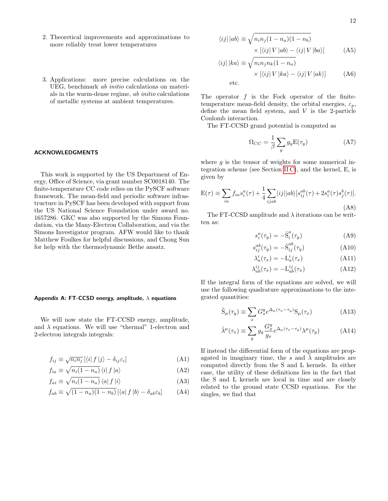- 2. Theoretical improvements and approximations to more reliably treat lower temperatures
- 3. Applications: more precise calculations on the UEG, benchmark ab initio calculations on materials in the warm-dense regime, ab initio calculations of metallic systems at ambient temperatures.

# ACKNOWLEDGMENTS

This work is supported by the US Department of Energy, Office of Science, via grant number SC0018140. The finite-temperature CC code relies on the PySCF software framework. The mean-field and periodic software infrastructure in PySCF has been developed with support from the US National Science Foundation under award no. 1657286. GKC was also supported by the Simons Foundation, via the Many-Electron Collaboration, and via the Simons Investigator program. AFW would like to thank Matthew Foulkes for helpful discussions, and Chong Sun for help with the thermodynamic Bethe ansatz.

#### <span id="page-11-1"></span>Appendix A: FT-CCSD energy, amplitude,  $\lambda$  equations

We will now state the FT-CCSD energy, amplitude, and  $\lambda$  equations. We will use "thermal" 1-electron and 2-electron integrals integrals:

$$
f_{ij} \equiv \sqrt{n_i n_j} \left[ \langle i | f | j \rangle - \delta_{ij} \varepsilon_i \right] \tag{A1}
$$

$$
f_{ia} \equiv \sqrt{n_i(1 - n_a)} \left\langle i \right| f \left| a \right\rangle \tag{A2}
$$

$$
f_{ai} \equiv \sqrt{n_i(1 - n_a)} \langle a| f | i \rangle \tag{A3}
$$

$$
f_{ab} \equiv \sqrt{(1 - n_a)(1 - n_b)} \left[ \langle a| f | b \rangle - \delta_{ab} \varepsilon_b \right] \tag{A4}
$$

$$
\langle ij | | ab \rangle \equiv \sqrt{n_i n_j (1 - n_a)(1 - n_b)}
$$

$$
\times [\langle ij | V | ab \rangle - \langle ij | V | ba \rangle]
$$
(A5)

$$
\langle ij | | ka \rangle \equiv \sqrt{n_i n_j n_k (1 - n_a)} \times [\langle ij | V | ka \rangle - \langle ij | V | ak \rangle]
$$
 (A6)

etc.

The operator  $f$  is the Fock operator of the finitetemperature mean-field density, the orbital energies,  $\varepsilon_n$ , define the mean field system, and V is the 2-particle Coulomb interaction.

The FT-CCSD grand potential is computed as

$$
\Omega_{CC} = \frac{1}{\beta} \sum_{y} g_y \mathbf{E}(\tau_y)
$$
\n(A7)

where  $g$  is the tensor of weights for some numerical integration scheme (see Section [II C\)](#page-2-6), and the kernel, E, is given by

<span id="page-11-0"></span>
$$
E(\tau) \equiv \sum_{ia} f_{ia} s_i^a(\tau) + \frac{1}{4} \sum_{ijab} \langle ij || ab \rangle [s_{ij}^{ab}(\tau) + 2s_i^a(\tau)s_j^b(\tau)].
$$
\n(A8)

The FT-CCSD amplitude and  $\lambda$  iterations can be written as:

$$
s_i^a(\tau_y) = -\tilde{S}_i^a(\tau_y) \tag{A9}
$$

$$
s_{ij}^{ab}(\tau_y) = -\tilde{S}_{ij}^{ab}(\tau_y)
$$
 (A10)

$$
\lambda_a^i(\tau_x) = -\mathcal{L}_a^i(\tau_x) \tag{A11}
$$

$$
\lambda_{ab}^{ij}(\tau_x) = -\mathcal{L}_{ab}^{ij}(\tau_x) \tag{A12}
$$

If the integral form of the equations are solved, we will use the following quadrature approximations to the integrated quantities:

$$
\tilde{\mathcal{S}}_{\mu}(\tau_y) \equiv \sum_x G_x^y e^{\Delta_{\mu}(\tau_x - \tau_y)} \mathcal{S}_{\mu}(\tau_x)
$$
\n(A13)

$$
\tilde{\lambda}^{\mu}(\tau_x) \equiv \sum_y g_y \frac{G_x^y}{g_x} e^{\Delta_{\mu}(\tau_x - \tau_y)} \lambda^{\mu}(\tau_y)
$$
\n(A14)

If instead the differential form of the equations are propagated in imaginary time, the s and  $\lambda$  amplitudes are computed directly from the S and L kernels. In either case, the utility of these definitions lies in the fact that the S and L kernels are local in time and are closely related to the ground state CCSD equations. For the singles, we find that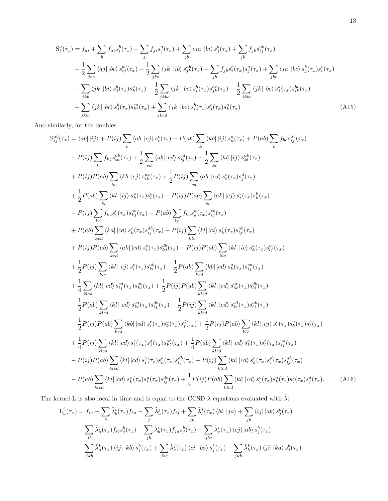<span id="page-12-0"></span>
$$
S_i^a(\tau_x) = f_{ai} + \sum_b f_{ab}s_i^b(\tau_x) - \sum_j f_{ji}s_j^a(\tau_x) + \sum_{jb} \langle ja | bi \rangle s_j^b(\tau_x) + \sum_{jb} f_{jb}s_{ij}^{ab}(\tau_x)
$$
  
+ 
$$
\frac{1}{2} \sum_{jbc} \langle aj | ibc \rangle s_{ij}^{bc}(\tau_x) - \frac{1}{2} \sum_{jkb} \langle jk | ib \rangle s_{jk}^{ab}(\tau_x) - \sum_{jb} f_{jb}s_i^b(\tau_x) s_j^a(\tau_x) + \sum_{jbc} \langle ja | ibc \rangle s_j^b(\tau_x) s_i^c(\tau_x)
$$
  
- 
$$
\sum_{jkb} \langle jk | bi \rangle s_j^b(\tau_x) s_k^a(\tau_x) - \frac{1}{2} \sum_{jkbc} \langle jk | ibc \rangle s_i^b(\tau_x) s_{jk}^{ac}(\tau_x) - \frac{1}{2} \sum_{jkbc} \langle jk | ibc \rangle s_j^a(\tau_x) s_{ik}^{bc}(\tau_x)
$$
  
+ 
$$
\sum_{jkbc} \langle jk | ibc \rangle s_j^b(\tau_x) s_{ki}^{ca}(\tau_x) + \sum_{jkcd} \langle jk | ibc \rangle s_i^b(\tau_x) s_j^c(\tau_x) s_k^a(\tau_x)
$$
(A15)

And similarly, for the doubles

$$
S_{ij}^{ab}(\tau_{x}) = \langle ab| |ij \rangle + P(ij) \sum_{c} \langle ab| |cj \rangle s_{i}^{c}(\tau_{x}) - P(ab) \sum_{k} \langle kb| |ij \rangle s_{k}^{a}(\tau_{x}) + P(ab) \sum_{c} f_{bc}s_{ij}^{ac}(\tau_{x})
$$
  
\n
$$
- P(ij) \sum_{k} f_{kj}s_{ik}^{ab}(\tau_{x}) + \frac{1}{2} \sum_{cd} \langle ab| |cd \rangle s_{ij}^{cd}(\tau_{x}) + \frac{1}{2} \sum_{kl} \langle kl| |ij \rangle s_{kl}^{ab}(\tau_{x})
$$
  
\n
$$
+ P(ij)P(ab) \sum_{kc} \langle kb| |cj \rangle s_{ik}^{a}(\tau_{x}) + \frac{1}{2} P(ij) \sum_{cd} \langle ab| |cd \rangle s_{i}^{c}(\tau_{x})s_{j}^{d}(\tau_{x})
$$
  
\n
$$
+ \frac{1}{2} P(ab) \sum_{kl} \langle kl| |ij \rangle s_{k}^{a}(\tau_{x})s_{l}^{b}(\tau_{x}) - P(ij)P(ab) \sum_{kc} \langle ak| |cj \rangle s_{i}^{c}(\tau_{x})s_{k}^{b}(\tau_{x})
$$
  
\n
$$
- P(ij) \sum_{kc} f_{kc}s_{i}^{c}(\tau_{x})s_{kj}^{ab}(\tau_{x}) - P(ij)P(ab) \sum_{kc} \langle ak| |ci \rangle s_{k}^{c}(\tau_{x})s_{kj}^{ab}(\tau_{x})
$$
  
\n
$$
+ P(ab) \sum_{kc} \langle ka| |cd \rangle s_{k}^{c}(\tau_{x})s_{ij}^{ab}(\tau_{x}) - P(ij) \sum_{klc} \langle kl| |ci \rangle s_{k}^{c}(\tau_{x})s_{ij}^{ab}(\tau_{x})
$$
  
\n
$$
+ P(ij)P(ab) \sum_{kc} \langle ak| |cd \rangle s_{i}^{c}(\tau_{x})s_{kj}^{ab}(\tau_{x}) - P(ij)P(ab) \sum_{klc} \langle kl| |ic \rangle s_{k}^{a}(\tau_{x})s_{ij}^{cb}(\tau_{x})
$$
  
\n
$$
+ \frac{1}{2} P(ij) \sum_{klc} \langle kl| |cd \rangle s_{i}^{ca}(\tau_{x})s_{kj}^{ab}(\tau_{
$$

The kernel L is also local in time and is equal to the CCSD  $\lambda$  equations evaluated with  $\tilde{\lambda}$ :

<span id="page-12-1"></span>
$$
L_a^i(\tau_x) = f_{ia} + \sum_b \tilde{\lambda}_b^i(\tau_x) f_{ba} - \sum_j \tilde{\lambda}_a^j(\tau_x) f_{ij} + \sum_{jb} \tilde{\lambda}_b^j(\tau_x) \langle bi | \, |ja \rangle + \sum_{jb} \langle ij | \, |ab \rangle \, s_j^b(\tau_x)
$$

$$
- \sum_{jb} \tilde{\lambda}_a^j(\tau_x) f_{ib} s_j^b(\tau_x) - \sum_{jb} \tilde{\lambda}_b^i(\tau_x) f_{ja} s_j^b(\tau_x) + \sum_{jbc} \tilde{\lambda}_c^i(\tau_x) \langle cj | \, |ab \rangle \, s_j^b(\tau_x)
$$

$$
- \sum_{jkb} \tilde{\lambda}_a^k(\tau_x) \langle ij | \, |kb \rangle \, s_j^b(\tau_x) + \sum_{jbc} \tilde{\lambda}_c^j(\tau_x) \langle ci | \, |ba \rangle \, s_j^b(\tau_x) - \sum_{jkb} \tilde{\lambda}_b^k(\tau_x) \langle ji | \, |ka \rangle \, s_j^b(\tau_x)
$$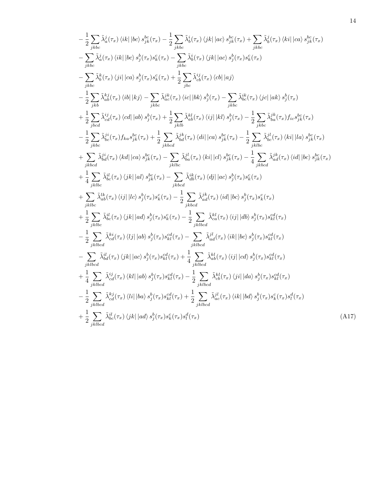$$
-\frac{1}{2} \sum_{jkbc} \tilde{\lambda}_{a}^{j}(\tau_{x}) \langle i k | \langle bc \rangle s_{jk}^{bc}(\tau_{x}) - \frac{1}{2} \sum_{jkbc} \tilde{\lambda}_{b}^{j}(\tau_{x}) \langle j k | \langle ac \rangle s_{jk}^{bc}(\tau_{x}) + \sum_{jkbc} \tilde{\lambda}_{b}^{j}(\tau_{x}) \langle ki | \langle ca \rangle s_{jk}^{bc}(\tau_{x})
$$
\n
$$
-\sum_{jkbc} \tilde{\lambda}_{a}^{j}(\tau_{x}) \langle i k | \langle bc \rangle s_{j}^{b}(\tau_{x}) s_{k}^{c}(\tau_{x}) - \sum_{jkbc} \tilde{\lambda}_{b}^{j}(\tau_{x}) \langle j k | \langle ac \rangle s_{j}^{b}(\tau_{x}) s_{k}^{c}(\tau_{x})
$$
\n
$$
-\sum_{jkbc} \tilde{\lambda}_{b}^{k}(\tau_{x}) \langle j i | \langle ca \rangle s_{j}^{b}(\tau_{x}) s_{k}^{c}(\tau_{x}) + \frac{1}{2} \sum_{jkbc} \tilde{\lambda}_{b}^{jj}(\tau_{x}) \langle cb | \langle a j \rangle
$$
\n
$$
-\frac{1}{2} \sum_{jkb} \tilde{\lambda}_{ab}^{kj}(\tau_{x}) \langle i b | \langle kj \rangle - \sum_{jkbc} \tilde{\lambda}_{ab}^{jk}(\tau_{x}) \langle ic | \langle bk \rangle s_{j}^{b}(\tau_{x}) - \sum_{jkbc} \tilde{\lambda}_{bc}^{jk}(\tau_{x}) \langle j c | \langle ak \rangle s_{j}^{b}(\tau_{x})
$$
\n
$$
+\frac{1}{2} \sum_{jkbc} \tilde{\lambda}_{ab}^{ij}(\tau_{x}) \langle ca | \langle ab \rangle s_{j}^{b}(\tau_{x}) + \frac{1}{2} \sum_{jkbb} \tilde{\lambda}_{ab}^{kj}(\tau_{x}) \langle ij | \langle kl \rangle s_{j}^{b}(\tau_{x}) - \frac{1}{2} \sum_{jkbc} \tilde{\lambda}_{ba}^{jk}(\tau_{x}) f_{ia} s_{jk}^{bc}(\tau_{x})
$$
\n
$$
-\frac{1}{2} \sum_{jkbc} \tilde{\lambda}_{ba}^{ij}(\tau_{x}) \langle kd | \langle ca \rangle s_{j}^{b}(\tau_{x}) + \frac{1}{2} \sum_{jkbc} \tilde{\lambda}_{ba}^{ij}(\tau_{
$$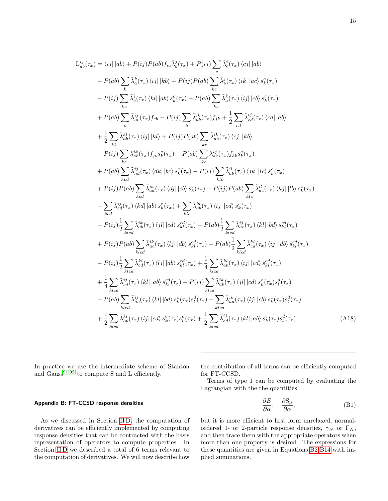$$
\frac{d}{dt}\frac{d}{dt}\left(\tau_{x}\right) = \langle ij| \left| ab \right\rangle + P(ij)P(ab) f_{ia} \tilde{\lambda}_{b}^{i}(\tau_{x}) + P(ij) \sum_{c} \tilde{\lambda}_{c}^{i}(\tau_{x}) \langle cj| \left| ab \right\rangle
$$
\n
$$
- P(ab) \sum_{k} \tilde{\lambda}_{c}^{k}(\tau_{x}) \langle ij| \left| kb \right\rangle + P(ij)P(ab) \sum_{kc} \tilde{\lambda}_{b}^{i}(\tau_{x}) \langle ik| \left| ac \right\rangle s_{k}^{c}(\tau_{x})
$$
\n
$$
- P(ij) \sum_{k} \tilde{\lambda}_{c}^{i}(\tau_{x}) \langle kl| \left| ab \right\rangle s_{k}^{c}(\tau_{x}) - P(ab) \sum_{k} \tilde{\lambda}_{c}^{k}(\tau_{x}) \langle ij| \left| cb \right\rangle s_{k}^{c}(\tau_{x})
$$
\n
$$
+ P(ab) \sum_{c} \tilde{\lambda}_{ac}^{i}(\tau_{x}) f_{cb} - P(ij) \sum_{k} \tilde{\lambda}_{ab}^{i}(\tau_{x}) f_{jk} + \frac{1}{2} \sum_{cd} \tilde{\lambda}_{cd}^{i}(\tau_{x}) \langle cd| \left| ab \right\rangle
$$
\n
$$
+ \frac{1}{2} \sum_{kl} \tilde{\lambda}_{ab}^{kl}(\tau_{x}) f_{jl} \langle kl| \left| kb \right\rangle + P(ij)P(ab) \sum_{kc} \tilde{\lambda}_{ac}^{i}(\tau_{x}) \langle cj| \left| kb \right\rangle
$$
\n
$$
- P(ij) \sum_{kc} \tilde{\lambda}_{ab}^{i}(\tau_{x}) f_{jc}s_{k}^{c}(\tau_{x}) - P(ab) \sum_{kc} \tilde{\lambda}_{ac}^{i}(\tau_{x}) f_{kb}s_{k}^{c}(\tau_{x})
$$
\n
$$
+ P(ab) \sum_{kc} \tilde{\lambda}_{ab}^{i}(\tau_{x}) \langle dl| \left| bc \rangle s_{k}^{c}(\tau_{x}) - P(ij) \sum_{klc} \tilde{\lambda}_{ab}^{il}(\tau_{x}) \langle jk| \left| kb \right\rangle s_{k}^{c}(\tau_{x})
$$
\n
$$
+ P(ij)P(ab) \sum_{kcd} \tilde{\lambda}_{ad}^{i}(\tau_{x}) \langle dj| \
$$

In practice we use the intermediate scheme of Stanton and Gauss<sup>[91,](#page-20-39)[92](#page-20-40)</sup> to compute S and L efficiently.

# <span id="page-14-0"></span>Appendix B: FT-CCSD response densities

 $\mathcal{L}^{ij}_{ab}$ 

As we discussed in Section [II D,](#page-2-4) the computation of derivatives can be efficiently implemented by computing response densities that can be contracted with the basis representation of operators to compute properties. In Section [II D](#page-2-4) we described a total of 6 terms relevant to the computation of derivatives. We will now describe how

the contribution of all terms can be efficiently computed for FT-CCSD.

Terms of type 1 can be computed by evaluating the Lagrangian with the the quantities

$$
\frac{\partial E}{\partial \alpha}, \quad \frac{\partial S_{\mu}}{\partial \alpha}, \tag{B1}
$$

but it is more efficient to first form unrelaxed, normalordered 1- or 2-particle response densities,  $\gamma_N$  or  $\Gamma_N$ , and then trace them with the appropriate operators when more than one property is desired. The expressions for these quantities are given in Equations [B2-](#page-15-0)[B14](#page-16-0) with implied summations.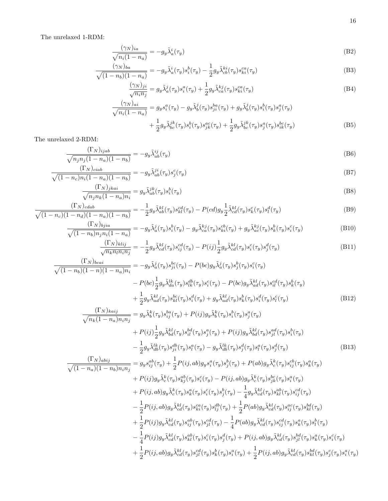The unrelaxed 1-RDM:

$$
\frac{(\gamma_N)_{ia}}{\sqrt{n_i(1-n_a)}} = -g_y \tilde{\lambda}_a^i(\tau_y)
$$
\n(B2)

$$
\frac{(\gamma_N)_{ba}}{\sqrt{(1-n_b)(1-n_a)}} = -g_y \tilde{\lambda}_a^i(\tau_y) s_i^b(\tau_y) - \frac{1}{2} g_y \tilde{\lambda}_{cb}^{ki}(\tau_y) s_{ki}^{ca}(\tau_y)
$$
(B3)

<span id="page-15-0"></span>
$$
\frac{(\gamma_N)_{ji}}{\sqrt{n_i n_j}} = g_y \tilde{\lambda}_a^j(\tau_y) s_i^a(\tau_y) + \frac{1}{2} g_y \tilde{\lambda}_{ca}^{kj}(\tau_y) s_{ki}^{ca}(\tau_y)
$$
\n(B4)

$$
\frac{(\gamma_N)_{ai}}{\sqrt{n_i(1-n_a)}} = g_y s_i^a(\tau_y) - g_y \tilde{\lambda}_b^j(\tau_y) s_{ji}^{ba}(\tau_y) + g_y \tilde{\lambda}_b^j(\tau_y) s_i^b(\tau_y) s_j^a(\tau_y) \n+ \frac{1}{2} g_y \tilde{\lambda}_{bc}^{jk}(\tau_y) s_j^b(\tau_y) s_{jk}^{ac}(\tau_y) + \frac{1}{2} g_y \tilde{\lambda}_{bc}^{jk}(\tau_y) s_j^a(\tau_y) s_{ik}^{bc}(\tau_y)
$$
\n(B5)

The unrelaxed 2-RDM:

$$
\frac{(\Gamma_N)_{ijab}}{\sqrt{n_j n_j (1 - n_a)(1 - n_b)}} = -g_y \tilde{\lambda}_{ab}^{ij}(\tau_y)
$$
\n(B6)

$$
\frac{(\Gamma_N)_{ciab}}{\sqrt{(1-n_c)n_i(1-n_a)(1-n_b)}} = -g_y \tilde{\lambda}_{ab}^{ji}(\tau_y) s_j^c(\tau_y)
$$
\n(B7)

$$
\frac{(\Gamma_N)_{jkai}}{\sqrt{n_j n_k (1 - n_a) n_i}} = g_y \tilde{\lambda}_{ab}^{jk} (\tau_y) s_i^b (\tau_y)
$$
\n(B8)

$$
\frac{(\Gamma_N)_{cdab}}{\sqrt{(1-n_c)(1-n_d)(1-n_a)(1-n_b)}} = -\frac{1}{2}g_y\tilde{\lambda}_{ab}^{kl}(\tau_y)s_{kl}^{cd}(\tau_y) - P(cd)g_y\frac{1}{2}\tilde{\lambda}_{cd}^{kl}(\tau_y)s_l^d(\tau_y)
$$
(B9)

$$
\frac{(\Gamma_N)_{bjia}}{\sqrt{(1-n_b)n_jn_i(1-n_a)}} = -g_y\tilde{\lambda}_a^j(\tau_y)s_i^b(\tau_y) - g_y\tilde{\lambda}_{ca}^{kj}(\tau_y)s_{ki}^{cb}(\tau_y) + g_y\tilde{\lambda}_{ac}^{kj}(\tau_y)s_k^b(\tau_y)s_i^c(\tau_y)
$$
(B10)

$$
\frac{(\Gamma_N)_{klij}}{\sqrt{n_k n_l n_i n_j}} = -\frac{1}{2} g_y \tilde{\lambda}_{cd}^{kl}(\tau_y) s_{ij}^{cd}(\tau_y) - P(ij) \frac{1}{2} g_y \tilde{\lambda}_{cd}^{kl}(\tau_y) s_i^c(\tau_y) s_j^d(\tau_y)
$$
(B11)

$$
\frac{(\Gamma_N)_{bcai}}{\sqrt{(1-n_b)(1-n)(1-n_a)n_i}} = -g_y \tilde{\lambda}_a^j(\tau_y) s_{ji}^{bc}(\tau_y) - P(bc)g_y \tilde{\lambda}_a^j(\tau_y) s_j^b(\tau_y) s_i^c(\tau_y)
$$

$$
- P(bc) \frac{1}{2} g_y \tilde{\lambda}_{da}^{lk}(\tau_y) s_{lk}^{db}(\tau_y) s_i^c(\tau_y) - P(bc)g_y \tilde{\lambda}_{ad}^{kl}(\tau_y) s_{il}^{cd}(\tau_y) s_k^b(\tau_y)
$$

$$
+ \frac{1}{2} g_y \tilde{\lambda}_{ad}^{kl}(\tau_y) s_{ki}^{bc}(\tau_y) s_i^d(\tau_y) + g_y \tilde{\lambda}_{ad}^{kl}(\tau_y) s_i^b(\tau_y) s_i^d(\tau_y) s_i^c(\tau_y)
$$
(B12)
$$
\frac{(\Gamma_N)_{kaij}}{\sqrt{(\Gamma_{ij} + \Gamma_{ij})_{kaj}}} = g_y \tilde{\lambda}_b^k(\tau_y) s_{ij}^{ba}(\tau_y) + P(ij) g_y \tilde{\lambda}_b^k(\tau_y) s_j^b(\tau_y) s_j^a(\tau_y)
$$

$$
\sqrt{n_k(1 - n_a)n_i n_j} \n\begin{aligned}\n&\frac{sgr \cdot (s_y) \cdot g_{ij} \cdot (s_y) \cdot (s_y) \cdot (s_y) \cdot (s_y) \cdot (s_y) \cdot (s_y) \cdot (s_y) \cdot (s_y) \cdot (s_y)}{2} \\
&\quad + P(ij) \frac{1}{2} g_y \tilde{\lambda}_{bd}^{kl}(\tau_y) s_{il}^{bd}(\tau_y) s_j^a(\tau_y) + P(ij) g_y \tilde{\lambda}_{bd}^{kl}(\tau_y) s_{jl}^d(\tau_y) s_l^b(\tau_y) \\
&\quad - \frac{1}{2} g_y \tilde{\lambda}_{db}^{lk}(\tau_y) s_{ji}^d(\tau_y) s_l^a(\tau_y) - g_y \tilde{\lambda}_{db}^{lk}(\tau_y) s_j^d(\tau_y) s_j^d(\tau_y) s_j^d(\tau_y)\n\end{aligned}\n\tag{B13}
$$
\n
$$
(T_N)_{abij} \n\begin{aligned}\n&\frac{1}{2} P(ij) \frac{1}{2} g_y \tilde{\lambda}_{db}^{kl}(\tau_y) s_{il}^a(\tau_y) - g_y \tilde{\lambda}_{db}^{lk}(\tau_y) s_j^d(\tau_y) s_j^d(\tau_y)\n\end{aligned}
$$

$$
\frac{(\Gamma_{N})_{abij}}{\sqrt{(1-n_{a})(1-n_{b})n_{i}n_{j}}} = g_{y}s_{ij}^{ab}(\tau_{y}) + \frac{1}{2}P(ij,ab)g_{y}s_{i}^{a}(\tau_{y})s_{j}^{b}(\tau_{y}) + P(ab)g_{y}\tilde{\lambda}_{c}^{k}(\tau_{y})s_{ij}^{cb}(\tau_{y})s_{k}^{a}(\tau_{y}) \n+ P(ij)g_{y}\tilde{\lambda}_{c}^{k}(\tau_{y})s_{kj}^{ab}(\tau_{y})s_{i}^{c}(\tau_{y}) - P(ij,ab)g_{y}\tilde{\lambda}_{c}^{k}(\tau_{y})s_{jk}^{a}(\tau_{y})\n+ P(ij,ab)g_{y}\tilde{\lambda}_{c}^{k}(\tau_{y})s_{k}^{a}(\tau_{y})s_{j}^{b}(\tau_{y}) - \frac{1}{4}g_{y}\tilde{\lambda}_{cd}^{kl}(\tau_{y})s_{kl}^{ab}(\tau_{y})s_{ij}^{cd}(\tau_{y})\n- \frac{1}{2}P(ij,ab)g_{y}\tilde{\lambda}_{cd}^{kl}(\tau_{y})s_{ki}^{ca}(\tau_{y})s_{ij}^{db}(\tau_{y}) + \frac{1}{2}P(ab)g_{y}\tilde{\lambda}_{cd}^{kl}(\tau_{y})s_{ij}^{ad}(\tau_{y})\n+ \frac{1}{2}P(ij)g_{y}\tilde{\lambda}_{cd}^{kl}(\tau_{y})s_{ij}^{ca}(\tau_{y}) - \frac{1}{4}P(ab)g_{y}\tilde{\lambda}_{cd}^{kl}(\tau_{y})s_{ij}^{cd}(\tau_{y})s_{k}^{b}(\tau_{y})\n- \frac{1}{4}P(ij)g_{y}\tilde{\lambda}_{cd}^{kl}(\tau_{y})s_{kl}^{ab}(\tau_{y})s_{j}^{c}(\tau_{y}) + P(ij,ab)g_{y}\tilde{\lambda}_{cd}^{kl}(\tau_{y})s_{jl}^{a}(\tau_{y})s_{k}^{a}(\tau_{y})s_{i}^{c}(\tau_{y})\n+ \frac{1}{2}P(ij,ab)g_{y}\tilde{\lambda}_{cd}^{kl}(\tau_{y})s_{jl}^{a}(\tau_{y})s_{k}^{a}(\tau_{y}) + \frac{1}{2}P(ij,ab)g_{y}\tilde{\lambda}_{cd}^{kl}(\tau_{y})s_{kl}^{bd}(\tau
$$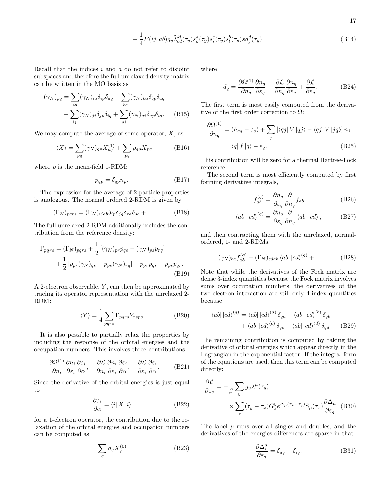$$
-\frac{1}{4}P(ij,ab)g_y\tilde{\lambda}_{cd}^{kl}(\tau_y)s_k^a(\tau_y)s_l^c(\tau_y)s_l^b(\tau_y)sd_j^d(\tau_y)
$$
\n(B14)

Recall that the indices  $i$  and  $a$  do not refer to disjoint subspaces and therefore the full unrelaxed density matrix can be written in the MO basis as

$$
(\gamma_N)_{pq} = \sum_{ia} (\gamma_N)_{ia} \delta_{ip} \delta_{aq} + \sum_{ba} (\gamma_N)_{ba} \delta_{bp} \delta_{aq}
$$

$$
+ \sum_{ij} (\gamma_N)_{ji} \delta_{jp} \delta_{iq} + \sum_{ai} (\gamma_N)_{ai} \delta_{ap} \delta_{iq}.
$$
 (B15)

We may compute the average of some operator,  $X$ , as

$$
\langle X \rangle = \sum_{pq} (\gamma_N)_{qp} X_{pq}^{(1)} + \sum_{pq} p_{qp} X_{pq} \tag{B16}
$$

where  $p$  is the mean-field 1-RDM:

$$
p_{qp} = \delta_{qp} n_p. \tag{B17}
$$

The expression for the average of 2-particle properties is analogous. The normal ordered 2-RDM is given by

$$
(\Gamma_N)_{pqrs} = (\Gamma_N)_{ijab} \delta_{ip} \delta_{jq} \delta_{ra} \delta_{sb} + \dots
$$
 (B18)

The full unrelaxed 2-RDM additionally includes the contribution from the reference density:

$$
\Gamma_{pqrs} = (\Gamma_N)_{pqrs} + \frac{1}{2} [(\gamma_N)_{pr} p_{qs} - (\gamma_N)_{ps} p_{rq}]
$$
  
+ 
$$
\frac{1}{2} [p_{pr}(\gamma_N)_{qs} - p_{ps}(\gamma_N)_{rq}] + p_{pr} p_{qs} - p_{ps} p_{qr}.
$$
  
(B19)

A 2-electron observable,  $Y$ , can then be approximated by tracing its operator representation with the unrelaxed 2- RDM:

$$
\langle Y \rangle = \frac{1}{4} \sum_{pqrs} \Gamma_{pqrs} Y_{rspq} \tag{B20}
$$

It is also possible to partially relax the properties by including the response of the orbital energies and the occupation numbers. This involves three contributions:

$$
\frac{\partial \Omega^{(1)}}{\partial n_i} \frac{\partial n_i}{\partial \varepsilon_i} \frac{\partial \varepsilon_i}{\partial \alpha}, \quad \frac{\partial \mathcal{L}}{\partial n_i} \frac{\partial n_i}{\partial \varepsilon_i} \frac{\partial \varepsilon_i}{\partial \alpha}, \quad \frac{\partial \mathcal{L}}{\partial \varepsilon_i} \frac{\partial \varepsilon_i}{\partial \alpha}.
$$
 (B21)

Since the derivative of the orbital energies is just equal to

$$
\frac{\partial \varepsilon_i}{\partial \alpha} = \langle i | X | i \rangle \tag{B22}
$$

for a 1-electron operator, the contribution due to the relaxation of the orbital energies and occupation numbers can be computed as

$$
\sum_{q} d_q X_q^{(0)} \tag{B23}
$$

where

<span id="page-16-0"></span>
$$
d_q = \frac{\partial \Omega^{(1)}}{\partial n_q} \frac{\partial n_q}{\partial \varepsilon_q} + \frac{\partial \mathcal{L}}{\partial n_q} \frac{\partial n_q}{\partial \varepsilon_q} + \frac{\partial \mathcal{L}}{\partial \varepsilon_q}.
$$
 (B24)

The first term is most easily computed from the derivative of the first order correction to  $\Omega$ :

$$
\frac{\partial \Omega^{(1)}}{\partial n_q} = (h_{qq} - \varepsilon_q) + \sum_j \left[ \langle qj | V | qj \rangle - \langle qj | V | jq \rangle \right] n_j
$$

$$
= \langle q | f | q \rangle - \varepsilon_q.
$$
(B25)

This contribution will be zero for a thermal Hartree-Fock reference.

The second term is most efficiently computed by first forming derivative integrals,

$$
f_{ab}^{(q)} = \frac{\partial n_q}{\partial \varepsilon_q} \frac{\partial}{\partial n_q} f_{ab}
$$
 (B26)

 $\lambda$ 

$$
\langle ab| |cd\rangle^{(q)} = \frac{\partial n_q}{\partial \varepsilon_q} \frac{\partial}{\partial n_q} \langle ab| |cd\rangle , \qquad (B27)
$$

and then contracting them with the unrelaxed, normalordered, 1- and 2-RDMs:

$$
(\gamma_N)_{ba} f_{ab}^{(q)} + (\Gamma_N)_{cdab} \langle ab | cb \rangle^{(q)} + \dots \tag{B28}
$$

Note that while the derivatives of the Fock matrix are dense 3-index quantities because the Fock matrix involves sums over occupation numbers, the derivatives of the two-electron interaction are still only 4-index quantities because

$$
\langle ab| |cd\rangle^{(q)} = \langle ab| |cd\rangle^{(a)} \delta_{qa} + \langle ab| |cd\rangle^{(b)} \delta_{qb}
$$

$$
+ \langle ab| |cd\rangle^{(c)} \delta_{qc} + \langle ab| |cd\rangle^{(d)} \delta_{qd} \qquad (B29)
$$

The remaining contribution is computed by taking the derivative of orbital energies which appear directly in the Lagrangian in the exponential factor. If the integral form of the equations are used, then this term can be computed directly:

$$
\frac{\partial \mathcal{L}}{\partial \varepsilon_q} = -\frac{1}{\beta} \sum_y g_y \lambda^\mu(\tau_y)
$$

$$
\times \sum_x (\tau_y - \tau_x) G_x^y e^{\Delta_\mu(\tau_x - \tau_y)} S_\mu(\tau_x) \frac{\partial \Delta_\mu}{\partial \varepsilon_q} \quad (B30)
$$

The label  $\mu$  runs over all singles and doubles, and the derivatives of the energies differences are sparse in that

$$
\frac{\partial \Delta_i^a}{\partial \varepsilon_q} = \delta_{aq} - \delta_{iq}.\tag{B31}
$$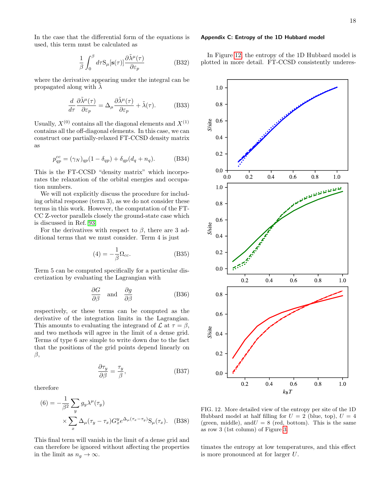In the case that the differential form of the equations is used, this term must be calculated as

$$
\frac{1}{\beta} \int_0^\beta d\tau S_\mu[\mathbf{s}(\tau)] \frac{\partial \tilde{\lambda}^\mu(\tau)}{\partial \varepsilon_p} \tag{B32}
$$

where the derivative appearing under the integral can be propagated along with  $\lambda$ 

$$
\frac{d}{d\tau}\frac{\partial\tilde{\lambda}^{\mu}(\tau)}{\partial\varepsilon_{p}} = \Delta_{\mu}\frac{\partial\tilde{\lambda}^{\mu}(\tau)}{\partial\varepsilon_{p}} + \tilde{\lambda}(\tau). \tag{B33}
$$

Usually,  $X^{(0)}$  contains all the diagonal elements and  $X^{(1)}$ contains all the off-diagonal elements. In this case, we can construct one partially-relaxed FT-CCSD density matrix as

$$
p_{qp}^{cc} = (\gamma_N)_{qp} (1 - \delta_{qp}) + \delta_{qp} (d_q + n_q). \tag{B34}
$$

This is the FT-CCSD "density matrix" which incorporates the relaxation of the orbital energies and occupation numbers.

We will not explicitly discuss the procedure for including orbital response (term 3), as we do not consider these terms in this work. However, the computation of the FT-CC Z-vector parallels closely the ground-state case which is discussed in Ref. [93.](#page-20-41)

For the derivatives with respect to  $\beta$ , there are 3 additional terms that we must consider. Term 4 is just

<span id="page-17-0"></span>
$$
(4) = -\frac{1}{\beta}\Omega_{cc}.\tag{B35}
$$

Term 5 can be computed specifically for a particular discretization by evaluating the Lagrangian with

$$
\frac{\partial G}{\partial \beta} \quad \text{and} \quad \frac{\partial g}{\partial \beta} \tag{B36}
$$

respectively, or these terms can be computed as the derivative of the integration limits in the Lagrangian. This amounts to evaluating the integrand of  $\mathcal L$  at  $\tau = \beta$ , and two methods will agree in the limit of a dense grid. Terms of type 6 are simple to write down due to the fact that the positions of the grid points depend linearly on β,

$$
\frac{\partial \tau_y}{\partial \beta} = \frac{\tau_y}{\beta},\tag{B37}
$$

therefore

(6) = 
$$
-\frac{1}{\beta^2} \sum_y g_y \lambda^{\mu} (\tau_y)
$$

$$
\times \sum_x \Delta_{\mu} (\tau_y - \tau_x) G_x^y e^{\Delta_{\mu} (\tau_x - \tau_y)} S_{\mu} (\tau_x). \quad (B38)
$$

This final term will vanish in the limit of a dense grid and can therefore be ignored without affecting the properties in the limit as  $n_q \to \infty$ .

#### <span id="page-17-2"></span>Appendix C: Entropy of the 1D Hubbard model

In Figure [12,](#page-17-3) the entropy of the 1D Hubbard model is plotted in more detail. FT-CCSD consistently underes-



<span id="page-17-3"></span><span id="page-17-1"></span>FIG. 12. More detailed view of the entropy per site of the 1D Hubbard model at half filling for  $U = 2$  (blue, top),  $U = 4$ (green, middle), and  $U = 8$  (red, bottom). This is the same as row 3 (1st column) of Figure [3.](#page-7-0)

timates the entropy at low temperatures, and this effect is more pronounced at for larger U.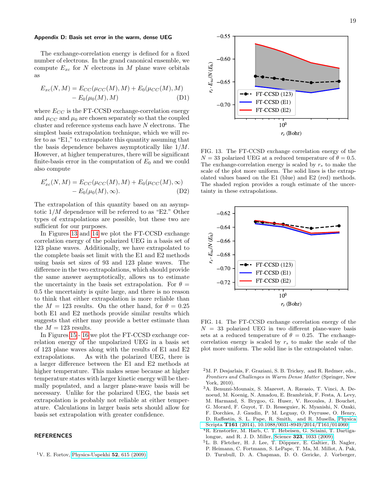#### <span id="page-18-5"></span>Appendix D: Basis set error in the warm, dense UEG

The exchange-correlation energy is defined for a fixed number of electrons. In the grand canonical ensemble, we compute  $E_{xc}$  for N electrons in M plane wave orbitals as

$$
E_{xc}(N, M) = E_{CC}(\mu_{CC}(M), M) + E_0(\mu_{CC}(M), M) - E_0(\mu_0(M), M)
$$
 (D1)

where  $E_{CC}$  is the FT-CCSD exchange-correlation energy and  $\mu_{CC}$  and  $\mu_0$  are chosen separately so that the coupled cluster and reference systems each have N electrons. The simplest basis extrapolation technique, which we will refer to as "E1," to extrapolate this quantity assuming that the basis dependence behaves asymptotically like 1/M. However, at higher temperatures, there will be significant finite-basis error in the computation of  $E_0$  and we could also compute

$$
E'_{xc}(N, M) = E_{CC}(\mu_{CC}(M), M) + E_0(\mu_{CC}(M), \infty)
$$
  
-  $E_0(\mu_0(M), \infty)$ . (D2)

The extrapolation of this quantity based on an asymptotic 1/M dependence will be referred to as "E2." Other types of extrapolations are possible, but these two are sufficient for our purposes.

In Figures [13](#page-18-6) and [14](#page-18-7) we plot the FT-CCSD exchange correlation energy of the polarized UEG in a basis set of 123 plane waves. Additionally, we have extrapolated to the complete basis set limit with the E1 and E2 methods using basis set sizes of 93 and 123 plane waves. The difference in the two extrapolations, which should provide the same answer asymptotically, allows us to estimate the uncertainty in the basis set extrapolation. For  $\theta =$ 0.5 the uncertainty is quite large, and there is no reason to think that either extrapolation is more reliable than the  $M = 123$  results. On the other hand, for  $\theta = 0.25$ both E1 and E2 methods provide similar results which suggests that either may provide a better estimate than the  $M = 123$  results.

In Figures [15](#page-19-23)- [16](#page-19-24) we plot the FT-CCSD exchange correlation energy of the unpolarized UEG in a basis set of 123 plane waves along with the results of E1 and E2 extrapolations. As with the polarized UEG, there is a larger difference between the E1 and E2 methods at higher temperature. This makes sense because at higher temperature states with larger kinetic energy will be thermally populated, and a larger plane-wave basis will be necessary. Unlike for the polarized UEG, the basis set extrapolation is probably not reliable at either temperature. Calculations in larger basis sets should allow for basis set extrapolation with greater confidence.

# **REFERENCES**

<span id="page-18-0"></span><sup>1</sup>V. E. Fortov, [Physics-Uspekhi](http://dx.doi.org/10.3367/UFNe.0179.200906h.0653) 52, 615 (2009).



<span id="page-18-6"></span>FIG. 13. The FT-CCSD exchange correlation energy of the  $N = 33$  polarized UEG at a reduced temperature of  $\theta = 0.5$ . The exchange-correlation energy is scaled by  $r_s$  to make the scale of the plot more uniform. The solid lines is the extrapolated values based on the E1 (blue) and E2 (red) methods. The shaded region provides a rough estimate of the uncertainty in these extrapolations.



<span id="page-18-7"></span>FIG. 14. The FT-CCSD exchange correlation energy of the  $N = 33$  polarized UEG in two different plane-wave basis sets at a reduced temperature of  $\theta = 0.25$ . The exchangecorrelation energy is scaled by  $r_s$  to make the scale of the plot more uniform. The solid line is the extrapolated value.

- <span id="page-18-1"></span> $2<sup>2</sup>M$ . P. Desjarlais, F. Graziani, S. B. Trickey, and R. Redmer, eds., Frontiers and Challenges in Warm Dense Matter (Springer, New York, 2010).
- <span id="page-18-2"></span><sup>3</sup>A. Benuzzi-Mounaix, S. Mazevet, A. Ravasio, T. Vinci, A. Denoeud, M. Koenig, N. Amadou, E. Brambrink, F. Festa, A. Levy, M. Harmand, S. Brygoo, G. Huser, V. Recoules, J. Bouchet, G. Morard, F. Guyot, T. D. Resseguier, K. Myanishi, N. Ozaki, F. Dorchies, J. Gaudin, P. M. Leguay, O. Peyrusse, O. Henry, D. Raffestin, S. L. Pape, R. Smith, and R. Musella, [Physica](http://dx.doi.org/ 10.1088/0031-8949/2014/T161/014060) Scripta T161 [\(2014\), 10.1088/0031-8949/2014/T161/014060.](http://dx.doi.org/ 10.1088/0031-8949/2014/T161/014060)
- <span id="page-18-3"></span><sup>4</sup>R. Ernstorfer, M. Harb, C. T. Hebeisen, G. Sciaini, T. Dartigalongue, and R. J. D. Miller, Science 323[, 1033 \(2009\).](http://dx.doi.org/ 10.1126/science.1162697)
- <span id="page-18-4"></span><sup>5</sup>L. B. Fletcher, H. J. Lee, T. Döppner, E. Galtier, B. Nagler,
- P. Heimann, C. Fortmann, S. LePape, T. Ma, M. Millot, A. Pak, D. Turnbull, D. A. Chapman, D. O. Gericke, J. Vorberger,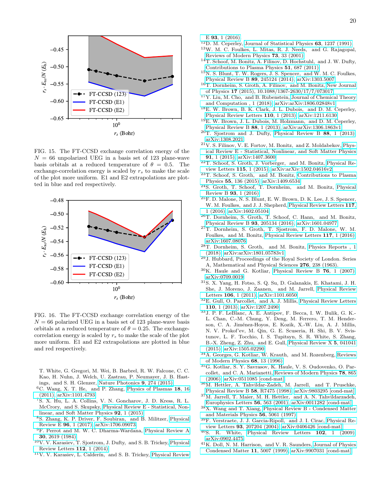

<span id="page-19-23"></span>FIG. 15. The FT-CCSD exchange correlation energy of the  $N = 66$  unpolarized UEG in a basis set of 123 plane-wave basis orbitals at a reduced temperature of  $\theta = 0.5$ . The exchange-correlation energy is scaled by  $r<sub>s</sub>$  to make the scale of the plot more uniform. E1 and E2 extrapolations are plotted in blue and red respectively.



<span id="page-19-24"></span>FIG. 16. The FT-CCSD exchange correlation energy of the  $N = 66$  polarized UEG in a basis set of 123 plane-wave basis orbitals at a reduced temperature of  $\theta = 0.25$ . The exchangecorrelation energy is scaled by  $r_s$  to make the scale of the plot more uniform. E1 and E2 extrapolations are plotted in blue and red respectively.

T. White, G. Gregori, M. Wei, B. Barbrel, R. W. Falcone, C. C. Kao, H. Nuhn, J. Welch, U. Zastrau, P. Neumayer, J. B. Hastings, and S. H. Glenzer, [Nature Photonics](http://dx.doi.org/10.1038/nphoton.2015.41) 9, 274 (2015).

- <span id="page-19-0"></span><sup>6</sup>C. Wang, X. T. He, and P. Zhang, [Physics of Plasmas](http://dx.doi.org/10.1063/1.3625273) 18, 16 [\(2011\),](http://dx.doi.org/10.1063/1.3625273) [arXiv:1101.4793.](http://arxiv.org/abs/1101.4793)
- <sup>7</sup>S. X. Hu, L. A. Collins, V. N. Goncharov, J. D. Kress, R. L. McCrory, and S. Skupsky, [Physical Review E - Statistical, Non](http://dx.doi.org/ 10.1103/PhysRevE.92.043104)[linear, and Soft Matter Physics](http://dx.doi.org/ 10.1103/PhysRevE.92.043104) 92, 1 (2015).
- <span id="page-19-1"></span><sup>8</sup>S. Zhang, K. P. Driver, F. Soubiran, and B. Militzer, [Physical](http://dx.doi.org/10.1103/PhysRevE.96.013204) Review E 96[, 1 \(2017\),](http://dx.doi.org/10.1103/PhysRevE.96.013204) [arXiv:1706.09073.](http://arxiv.org/abs/1706.09073)
- <span id="page-19-2"></span><sup>9</sup>F. Perrot and M. W. C. Dharma-Wardana, [Physical Review A](http://dx.doi.org/10.1103/PhysRevA.30.2619) 30[, 2619 \(1984\).](http://dx.doi.org/10.1103/PhysRevA.30.2619)
- <sup>10</sup>V. V. Karasiev, T. Sjostrom, J. Dufty, and S. B. Trickey, [Physical](http://dx.doi.org/ 10.1103/PhysRevLett.112.076403) [Review Letters](http://dx.doi.org/ 10.1103/PhysRevLett.112.076403) 112, 1 (2014).
- <span id="page-19-3"></span> $11$ V. V. Karasiev, L. Calderín, and S. B. Trickey, [Physical Review](http://dx.doi.org/10.1103/PhysRevE.93.063207)

E 93[, 1 \(2016\).](http://dx.doi.org/10.1103/PhysRevE.93.063207)

- <span id="page-19-4"></span> $12D$ . M. Ceperley, [Journal of Statistical Physics](http://dx.doi.org/10.1007/BF01030009) 63, 1237 (1991).
- <sup>13</sup>W. M. C. Foulkes, L. Mitas, R. J. Needs, and G. Rajagopal, [Reviews of Modern Physics](http://dx.doi.org/10.1007/11666806_4) 73, 33 (2001).
- <span id="page-19-19"></span><sup>14</sup>T. Schoof, M. Bonitz, A. Filinov, D. Hochstuhl, and J. W. Dufty, [Contributions to Plasma Physics](http://dx.doi.org/ 10.1002/ctpp.201100012) 51, 687 (2011).
- <span id="page-19-20"></span><sup>15</sup>N. S. Blunt, T. W. Rogers, J. S. Spencer, and W. M. C. Foulkes, [Physical Review B](http://dx.doi.org/10.1103/PhysRevB.89.245124) 89, 245124 (2014), [arXiv:1303.5007.](http://arxiv.org/abs/1303.5007)
- <span id="page-19-22"></span><sup>16</sup>T. Dornheim, S. Groth, A. Filinov, and M. Bonitz, [New Journal](http://dx.doi.org/10.1088/1367-2630/17/7/073017) of Physics 17 [\(2015\), 10.1088/1367-2630/17/7/073017.](http://dx.doi.org/10.1088/1367-2630/17/7/073017)
- <span id="page-19-5"></span><sup>17</sup>Y. Liu, M. Cho, and B. Rubenstein, [Journal of Chemical Theory](http://dx.doi.org/10.1021/acs.jctc.8b00569) [and Computation , 1 \(2018\),](http://dx.doi.org/10.1021/acs.jctc.8b00569) [arXiv:arXiv:1806.02848v1.](http://arxiv.org/abs/arXiv:1806.02848v1)
- <span id="page-19-6"></span><sup>18</sup>E. W. Brown, B. K. Clark, J. L. Dubois, and D. M. Ceperley, [Physical Review Letters](http://dx.doi.org/10.1103/PhysRevLett.110.146405) 110, 1 (2013), [arXiv:1211.6130.](http://arxiv.org/abs/1211.6130)
- <sup>19</sup>E. W. Brown, J. L. Dubois, M. Holzmann, and D. M. Ceperley, [Physical Review B](http://dx.doi.org/10.1103/PhysRevB.88.081102) 88, 1 (2013), [arXiv:arXiv:1306.1863v1.](http://arxiv.org/abs/arXiv:1306.1863v1)
- <span id="page-19-17"></span><sup>20</sup>T. Sjostrom and J. Dufty, [Physical Review B](http://dx.doi.org/10.1103/PhysRevB.88.115123) 88, 1 (2013), [arXiv:1308.2021.](http://arxiv.org/abs/1308.2021)
- <sup>21</sup>V. S. Filinov, V. E. Fortov, M. Bonitz, and Z. Moldabekov, [Phys](http://dx.doi.org/ 10.1103/PhysRevE.91.033108)[ical Review E - Statistical, Nonlinear, and Soft Matter Physics](http://dx.doi.org/ 10.1103/PhysRevE.91.033108) 91[, 1 \(2015\),](http://dx.doi.org/ 10.1103/PhysRevE.91.033108) [arXiv:1407.3600.](http://arxiv.org/abs/1407.3600)
- <span id="page-19-18"></span><sup>22</sup>T. Schoof, S. Groth, J. Vorberger, and M. Bonitz, [Physical Re](http://dx.doi.org/10.1103/PhysRevLett.115.130402)[view Letters](http://dx.doi.org/10.1103/PhysRevLett.115.130402) 115, 1 (2015), [arXiv:arXiv:1502.04616v2.](http://arxiv.org/abs/arXiv:1502.04616v2)
- <sup>23</sup>T. Schoof, S. Groth, and M. Bonitz, [Contributions to Plasma](http://dx.doi.org/10.1002/ctpp.201400072) Physics 55[, 136 \(2015\),](http://dx.doi.org/10.1002/ctpp.201400072) [arXiv:1409.6534.](http://arxiv.org/abs/1409.6534)
- <sup>24</sup>S. Groth, T. Schoof, T. Dornheim, and M. Bonitz, [Physical](http://dx.doi.org/10.1103/PhysRevB.93.085102) Review B 93[, 1 \(2016\).](http://dx.doi.org/10.1103/PhysRevB.93.085102)
- <span id="page-19-21"></span><sup>25</sup>F. D. Malone, N. S. Blunt, E. W. Brown, D. K. Lee, J. S. Spencer, W. M. Foulkes, and J. J. Shepherd, [Physical Review Letters](http://dx.doi.org/ 10.1103/PhysRevLett.117.115701) 117, [1 \(2016\),](http://dx.doi.org/ 10.1103/PhysRevLett.117.115701) [arXiv:1602.05104.](http://arxiv.org/abs/1602.05104)
- <sup>26</sup>T. Dornheim, S. Groth, T. Schoof, C. Hann, and M. Bonitz, [Physical Review B](http://dx.doi.org/ 10.1103/PhysRevB.93.205134) 93, 205134 (2016), [arXiv:1601.04977.](http://arxiv.org/abs/1601.04977)
- <sup>27</sup>T. Dornheim, S. Groth, T. Sjostrom, F. D. Malone, W. M. Foulkes, and M. Bonitz, [Physical Review Letters](http://dx.doi.org/ 10.1103/PhysRevLett.117.156403) 117, 1 (2016), [arXiv:1607.08076.](http://arxiv.org/abs/1607.08076)
- <span id="page-19-7"></span><sup>28</sup>T. Dornheim, S. Groth, and M. Bonitz, [Physics Reports , 1](http://dx.doi.org/10.1016/j.physrep.2018.04.001) [\(2018\),](http://dx.doi.org/10.1016/j.physrep.2018.04.001) [arXiv:arXiv:1801.05783v1.](http://arxiv.org/abs/arXiv:1801.05783v1)
- <span id="page-19-8"></span><sup>29</sup>J. Hubbard, Proceedings of the Royal Society of London. Series A, Mathematical and Physical Sciences 276, 238 (1963).
- $30$ K. Haule and G. Kotliar, [Physical Review B](http://dx.doi.org/10.1103/PhysRevB.76.104509) 76, 1 (2007), [arXiv:0709.0019.](http://arxiv.org/abs/0709.0019)
- <sup>31</sup>S. X. Yang, H. Fotso, S. Q. Su, D. Galanakis, E. Khatami, J. H. She, J. Moreno, J. Zaanen, and M. Jarrell, [Physical Review](http://dx.doi.org/ 10.1103/PhysRevLett.106.047004) Letters 106[, 1 \(2011\),](http://dx.doi.org/ 10.1103/PhysRevLett.106.047004) [arXiv:1101.6050.](http://arxiv.org/abs/1101.6050)
- <sup>32</sup>E. Gull, O. Parcollet, and A. J. Millis, [Physical Review Letters](http://dx.doi.org/10.1103/PhysRevLett.110.216405) 110[, 1 \(2013\),](http://dx.doi.org/10.1103/PhysRevLett.110.216405) [arXiv:1207.2490.](http://arxiv.org/abs/1207.2490)
- <span id="page-19-9"></span><sup>33</sup>J. P. F. LeBlanc, A. E. Antipov, F. Becca, I. W. Bulik, G. K.- L. Chan, C.-M. Chung, Y. Deng, M. Ferrero, T. M. Henderson, C. A. Jiménez-Hoyos, E. Kozik, X.-W. Liu, A. J. Millis, N. V. Prokof'ev, M. Qin, G. E. Scuseria, H. Shi, B. V. Svistunov, L. F. Tocchio, I. S. Tupitsyn, S. R. White, S. Zhang, B.-X. Zheng, Z. Zhu, and E. Gull, [Physical Review X](http://dx.doi.org/10.1103/PhysRevX.5.041041) 5, 041041 [\(2015\),](http://dx.doi.org/10.1103/PhysRevX.5.041041) [arXiv:1505.02290.](http://arxiv.org/abs/1505.02290)
- <span id="page-19-10"></span> $34\text{\AA}$  Georges, G. Kotliar, W. Krauth, and M. Rozenberg, [Reviews](http://dx.doi.org/ http://dx.doi.org/10.1103/RevModPhys.68.13) [of Modern Physics](http://dx.doi.org/ http://dx.doi.org/10.1103/RevModPhys.68.13) 68, 13 (1996).
- <span id="page-19-11"></span><sup>35</sup>G. Kotliar, S. Y. Savrasov, K. Haule, V. S. Oudovenko, O. Parcollet, and C. A. Marianetti, [Reviews of Modern Physics](http://dx.doi.org/10.1103/RevModPhys.78.865) 78, 865 [\(2006\),](http://dx.doi.org/10.1103/RevModPhys.78.865) [arXiv:0511085 \[cond-mat\].](http://arxiv.org/abs/0511085)
- <span id="page-19-12"></span><sup>36</sup>M. Hettler, A. Tahvildar-Zadeh, M. Jarrell, and T. Pruschke, [Physical Review B](http://dx.doi.org/10.1103/PhysRevB.58.R7475) 58, R7475 (1998), [arXiv:9803295 \[cond-mat\].](http://arxiv.org/abs/9803295)
- <span id="page-19-13"></span> $37\rm M$  Jarrell, T. Maier, M. H. Hettler, and A. N. Tahvildarzadeh, [Europhysics Letters](http://dx.doi.org/10.1209/epl/i2001-00557-x) 56, 563 (2001), [arXiv:0011282 \[cond-mat\].](http://arxiv.org/abs/0011282)
- <span id="page-19-14"></span><sup>38</sup>X. Wang and T. Xiang, [Physical Review B - Condensed Matter](http://dx.doi.org/10.1103/PhysRevB.56.5061) [and Materials Physics](http://dx.doi.org/10.1103/PhysRevB.56.5061) 56, 5061 (1997).
- <sup>39</sup>F. Verstraete, J. J. Garcia-Ripoll, and J. I. Cirac, [Physical Re](http://dx.doi.org/10.1103/PhysRevLett.93.207204)view Letters 93[, 207204 \(2004\),](http://dx.doi.org/10.1103/PhysRevLett.93.207204) [arXiv:0406426 \[cond-mat\].](http://arxiv.org/abs/0406426)
- <span id="page-19-15"></span><sup>40</sup>S. R. White, [Physical Review Letters](http://dx.doi.org/10.1103/PhysRevLett.102.190601) 102, 1 (2009), [arXiv:0902.4475.](http://arxiv.org/abs/0902.4475)
- <span id="page-19-16"></span><sup>41</sup>K. Doll, N. M. Harrison, and V. R. Saunders, [Journal of Physics](http://dx.doi.org/10.1088/0953-8984/11/26/305) [Condensed Matter](http://dx.doi.org/10.1088/0953-8984/11/26/305) 11, 5007 (1999), [arXiv:9907031 \[cond-mat\].](http://arxiv.org/abs/9907031)